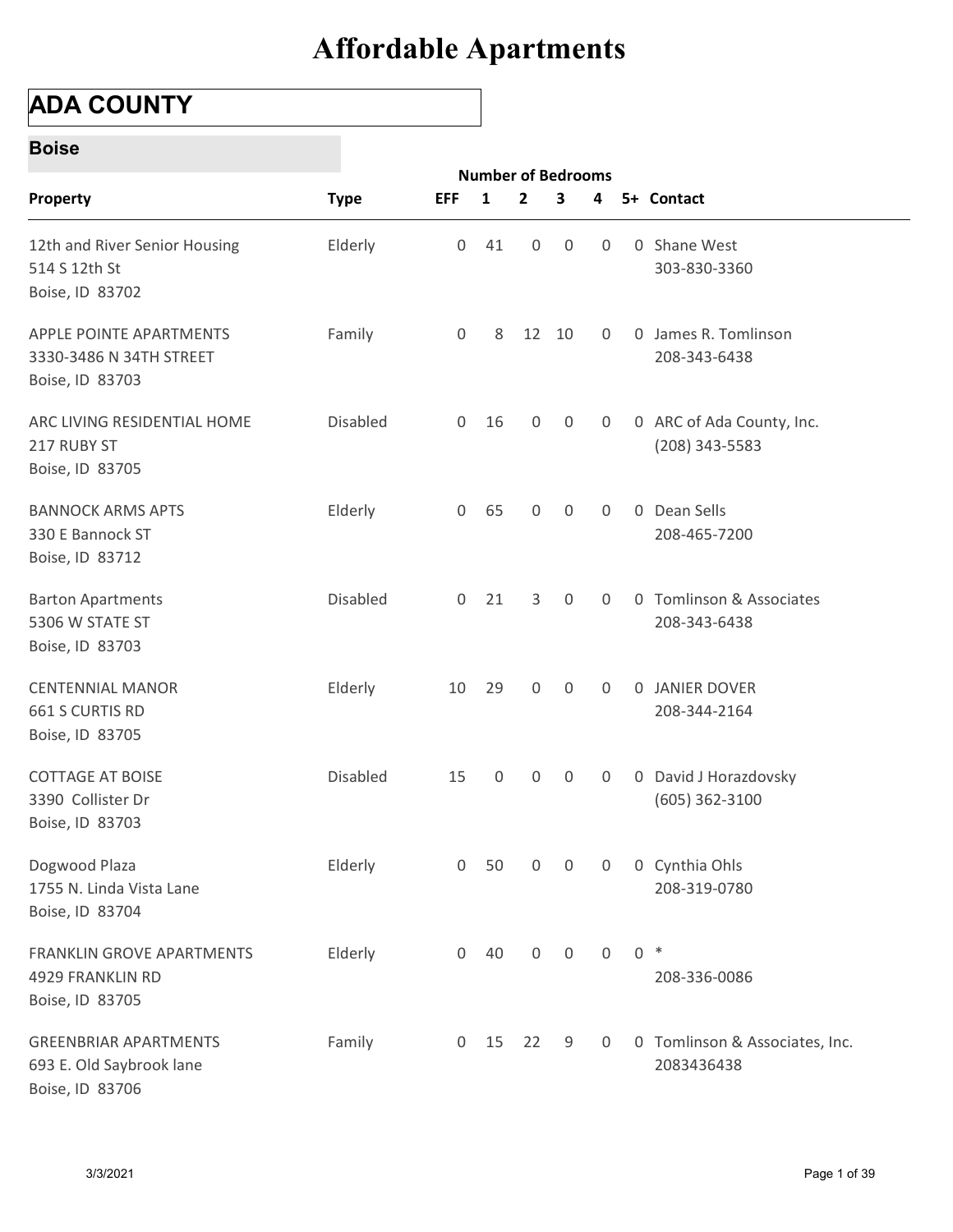### ADA COUNTY

#### Boise

| <b>ADA COUNTY</b>                                                           |             |                     |                                |                     |                |              |                |                                               |
|-----------------------------------------------------------------------------|-------------|---------------------|--------------------------------|---------------------|----------------|--------------|----------------|-----------------------------------------------|
| <b>Boise</b>                                                                |             |                     |                                |                     |                |              |                |                                               |
| Property                                                                    | <b>Type</b> | <b>EFF</b>          | <b>Number of Bedrooms</b><br>1 | $\mathbf{2}$        | 3              | 4            |                | 5+ Contact                                    |
| 12th and River Senior Housing<br>514 S 12th St<br>Boise, ID 83702           | Elderly     | 0                   | 41                             | $\overline{0}$      | 0              | 0            | $\overline{0}$ | Shane West<br>303-830-3360                    |
| APPLE POINTE APARTMENTS<br>3330-3486 N 34TH STREET<br>Boise, ID 83703       | Family      | 0                   | 8                              |                     | 12 10          | 0            |                | 0 James R. Tomlinson<br>208-343-6438          |
| ARC LIVING RESIDENTIAL HOME<br>217 RUBY ST<br>Boise, ID 83705               | Disabled    | $\overline{0}$      | 16                             | 0                   | $\mathbf 0$    | 0            |                | 0 ARC of Ada County, Inc.<br>$(208)$ 343-5583 |
| <b>BANNOCK ARMS APTS</b><br>330 E Bannock ST<br>Boise, ID 83712             | Elderly     | $\overline{0}$      | 65                             | $\mathbf 0$         | $\mathbf 0$    | 0            |                | 0 Dean Sells<br>208-465-7200                  |
| <b>Barton Apartments</b><br>5306 W STATE ST<br>Boise, ID 83703              | Disabled    | $\overline{0}$      | 21                             | 3                   | 0              | 0            | $\mathbf{0}$   | Tomlinson & Associates<br>208-343-6438        |
| <b>CENTENNIAL MANOR</b><br>661 S CURTIS RD<br>Boise, ID 83705               | Elderly     | 10                  | 29                             | $\mathsf{O}$        | $\mathbf 0$    | $\mathbf 0$  |                | 0 JANIER DOVER<br>208-344-2164                |
| COTTAGE AT BOISE<br>3390 Collister Dr<br>Boise, ID 83703                    | Disabled    | 15                  | $\mathsf{O}\xspace$            | $\boldsymbol{0}$    | $\mathsf{O}$   | $\mathbf 0$  |                | 0 David J Horazdovsky<br>$(605)$ 362-3100     |
| Dogwood Plaza<br>1755 N. Linda Vista Lane<br>Boise, ID 83704                | Elderly     | $\overline{0}$      | 50                             | 0                   | $\overline{0}$ | $\mathbf 0$  |                | 0 Cynthia Ohls<br>208-319-0780                |
| FRANKLIN GROVE APARTMENTS<br>4929 FRANKLIN RD<br>Boise, ID 83705            | Elderly     | $\mathsf{O}\xspace$ | 40                             | $\mathsf{O}\xspace$ | $\mathsf{O}$   | $\mathsf{O}$ |                | $0 *$<br>208-336-0086                         |
| <b>GREENBRIAR APARTMENTS</b><br>693 E. Old Saybrook lane<br>Boise, ID 83706 | Family      | $\overline{0}$      | 15                             | 22                  | 9              | $\mathbf 0$  |                | 0 Tomlinson & Associates, Inc.<br>2083436438  |
| 3/3/2021                                                                    |             |                     |                                |                     |                |              |                | Page 1 of 39                                  |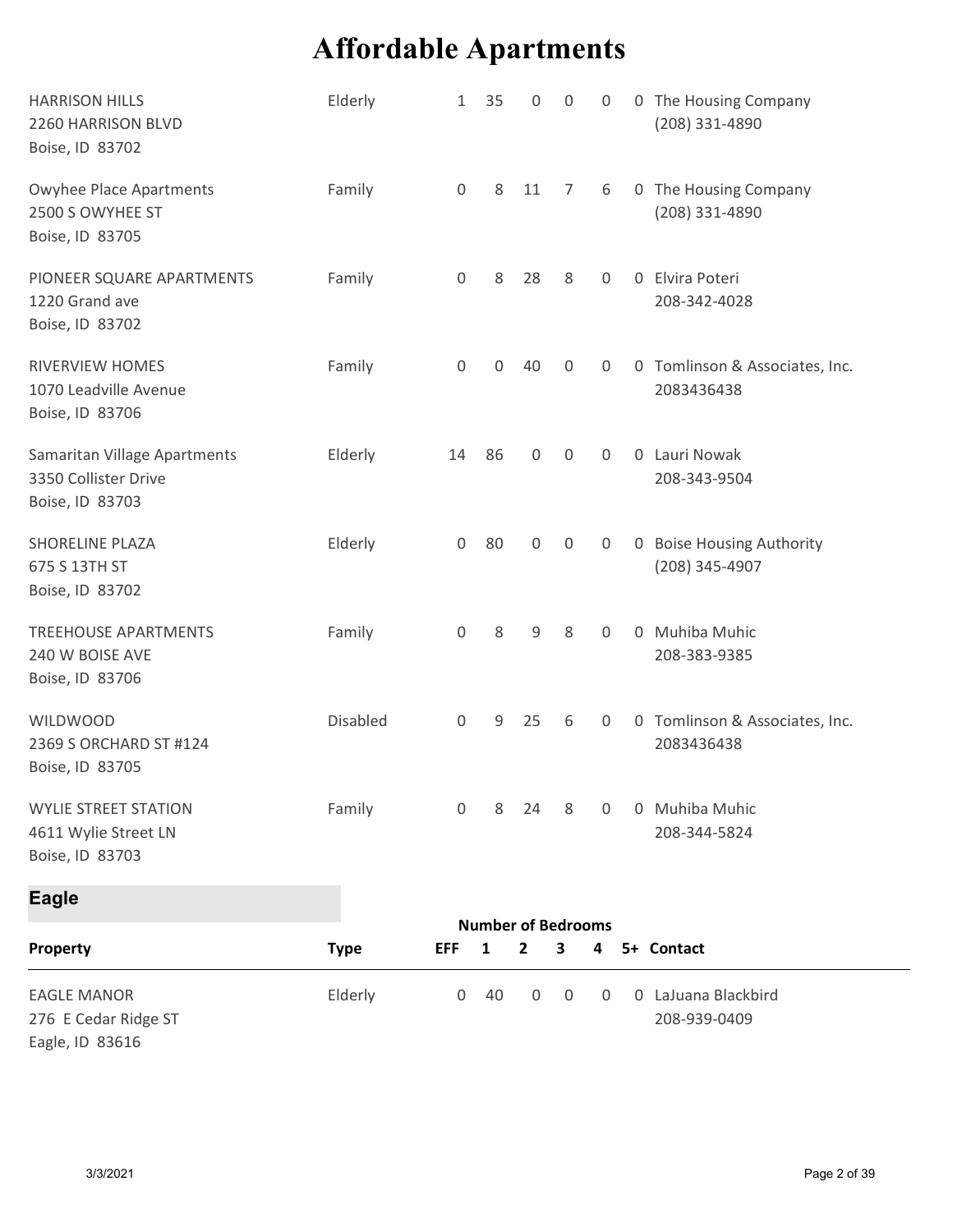|                                                                         | <b>Affordable Apartments</b> |                     |              |                                             |                         |                |   |                                              |
|-------------------------------------------------------------------------|------------------------------|---------------------|--------------|---------------------------------------------|-------------------------|----------------|---|----------------------------------------------|
| <b>HARRISON HILLS</b><br>2260 HARRISON BLVD<br>Boise, ID 83702          | Elderly                      | 1                   | 35           | 0                                           | 0                       | 0              | 0 | The Housing Company<br>(208) 331-4890        |
| Owyhee Place Apartments<br>2500 S OWYHEE ST<br>Boise, ID 83705          | Family                       | $\mathsf{O}$        | 8            | 11                                          | 7                       | 6              |   | 0 The Housing Company<br>(208) 331-4890      |
| PIONEER SQUARE APARTMENTS<br>1220 Grand ave<br>Boise, ID 83702          | Family                       | $\mathbf 0$         | 8            | 28                                          | 8                       | 0              |   | 0 Elvira Poteri<br>208-342-4028              |
| RIVERVIEW HOMES<br>1070 Leadville Avenue<br>Boise, ID 83706             | Family                       | $\mathbf 0$         | $\mathbf{0}$ | 40                                          | $\mathbf 0$             | $\Omega$       |   | 0 Tomlinson & Associates, Inc.<br>2083436438 |
| Samaritan Village Apartments<br>3350 Collister Drive<br>Boise, ID 83703 | Elderly                      | 14                  | 86           | $\mathsf{O}$                                | $\mathsf{O}\xspace$     | $\overline{0}$ |   | 0 Lauri Nowak<br>208-343-9504                |
| SHORELINE PLAZA<br>675 S 13TH ST<br>Boise, ID 83702                     | Elderly                      | $\overline{0}$      | 80           | $\mathsf{O}$                                | $\mathsf{O}$            | $\overline{0}$ |   | 0 Boise Housing Authority<br>(208) 345-4907  |
| TREEHOUSE APARTMENTS<br>240 W BOISE AVE<br>Boise, ID 83706              | Family                       | $\mathsf{O}\xspace$ | 8            | 9                                           | 8                       | $\mathbf 0$    |   | 0 Muhiba Muhic<br>208-383-9385               |
| <b>WILDWOOD</b><br>2369 S ORCHARD ST #124<br>Boise, ID 83705            | Disabled                     | $\overline{0}$      | 9            | 25                                          | 6                       | 0              |   | 0 Tomlinson & Associates, Inc.<br>2083436438 |
| <b>WYLIE STREET STATION</b><br>4611 Wylie Street LN<br>Boise, ID 83703  | Family                       | $\mathbf 0$         | 8            | 24                                          | 8                       | $\overline{0}$ |   | 0 Muhiba Muhic<br>208-344-5824               |
| <b>Eagle</b>                                                            |                              |                     |              |                                             |                         |                |   |                                              |
| Property                                                                | <b>Type</b>                  | <b>EFF</b>          | $\mathbf{1}$ | <b>Number of Bedrooms</b><br>$\overline{2}$ | $\overline{\mathbf{3}}$ | 4              |   | 5+ Contact                                   |
| <b>EAGLE MANOR</b><br>276 E Cedar Ridge ST<br>Eagle, ID 83616           | Elderly                      | $\mathbf 0$         | 40           | 0                                           | $\mathbf 0$             | 0              |   | 0 LaJuana Blackbird<br>208-939-0409          |
|                                                                         |                              |                     |              |                                             |                         |                |   |                                              |
| 3/3/2021                                                                |                              |                     |              |                                             |                         |                |   | Page 2 of 39                                 |

| EAGLE MANOR          | Elderly |  |  |  | 0 40 0 0 0 0 LaJuana Blackbird |
|----------------------|---------|--|--|--|--------------------------------|
| 276 E Cedar Ridge ST |         |  |  |  | 208-939-0409                   |
| __ ____              |         |  |  |  |                                |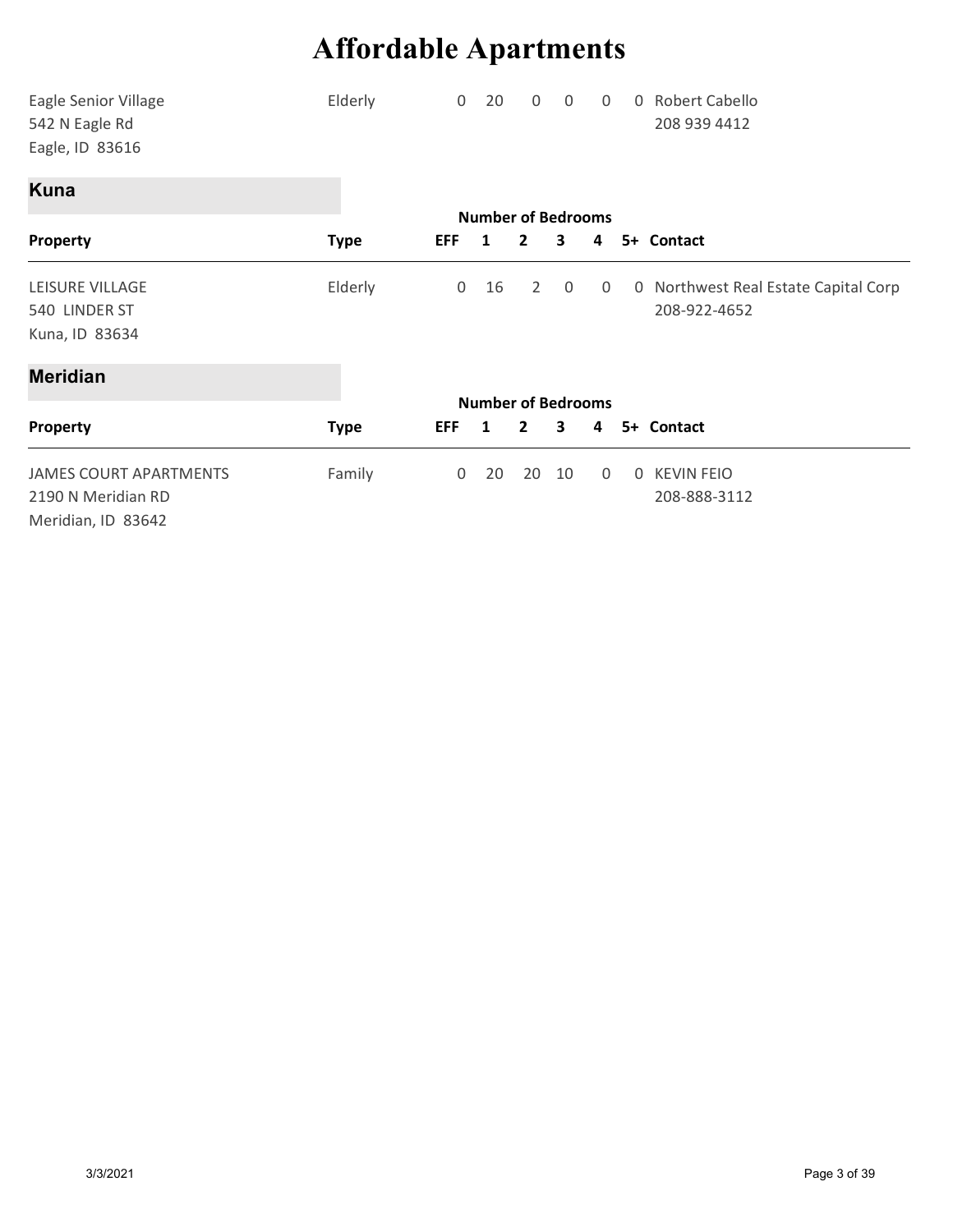|                                                           | <b>Affordable Apartments</b> |                |                                |                |              |                |                                                      |
|-----------------------------------------------------------|------------------------------|----------------|--------------------------------|----------------|--------------|----------------|------------------------------------------------------|
|                                                           |                              |                |                                |                |              |                |                                                      |
| Eagle Senior Village<br>542 N Eagle Rd<br>Eagle, ID 83616 | Elderly                      | $\overline{0}$ | 20                             | 0              | 0            | 0              | 0 Robert Cabello<br>208 939 4412                     |
| <b>Kuna</b>                                               |                              |                |                                |                |              |                |                                                      |
|                                                           |                              | <b>EFF</b>     | <b>Number of Bedrooms</b><br>1 | $\mathbf{2}$   | 3            |                | 5+ Contact                                           |
| Property                                                  | <b>Type</b>                  |                |                                |                |              | 4              |                                                      |
| LEISURE VILLAGE<br>540 LINDER ST<br>Kuna, ID 83634        | Elderly                      | $\mathbf 0$    | 16                             | 2              | $\mathbf 0$  | 0              | 0 Northwest Real Estate Capital Corp<br>208-922-4652 |
| <b>Meridian</b>                                           |                              |                |                                |                |              |                |                                                      |
|                                                           |                              |                | <b>Number of Bedrooms</b>      |                |              |                |                                                      |
| Property                                                  | <b>Type</b>                  |                | EFF 1                          | $\overline{2}$ | $\mathbf{3}$ |                | 4 5+ Contact                                         |
| <b>JAMES COURT APARTMENTS</b><br>2190 N Meridian RD       | Family                       |                | $0$ 20                         | 20 10          |              | $\overline{0}$ | 0 KEVIN FEIO<br>208-888-3112                         |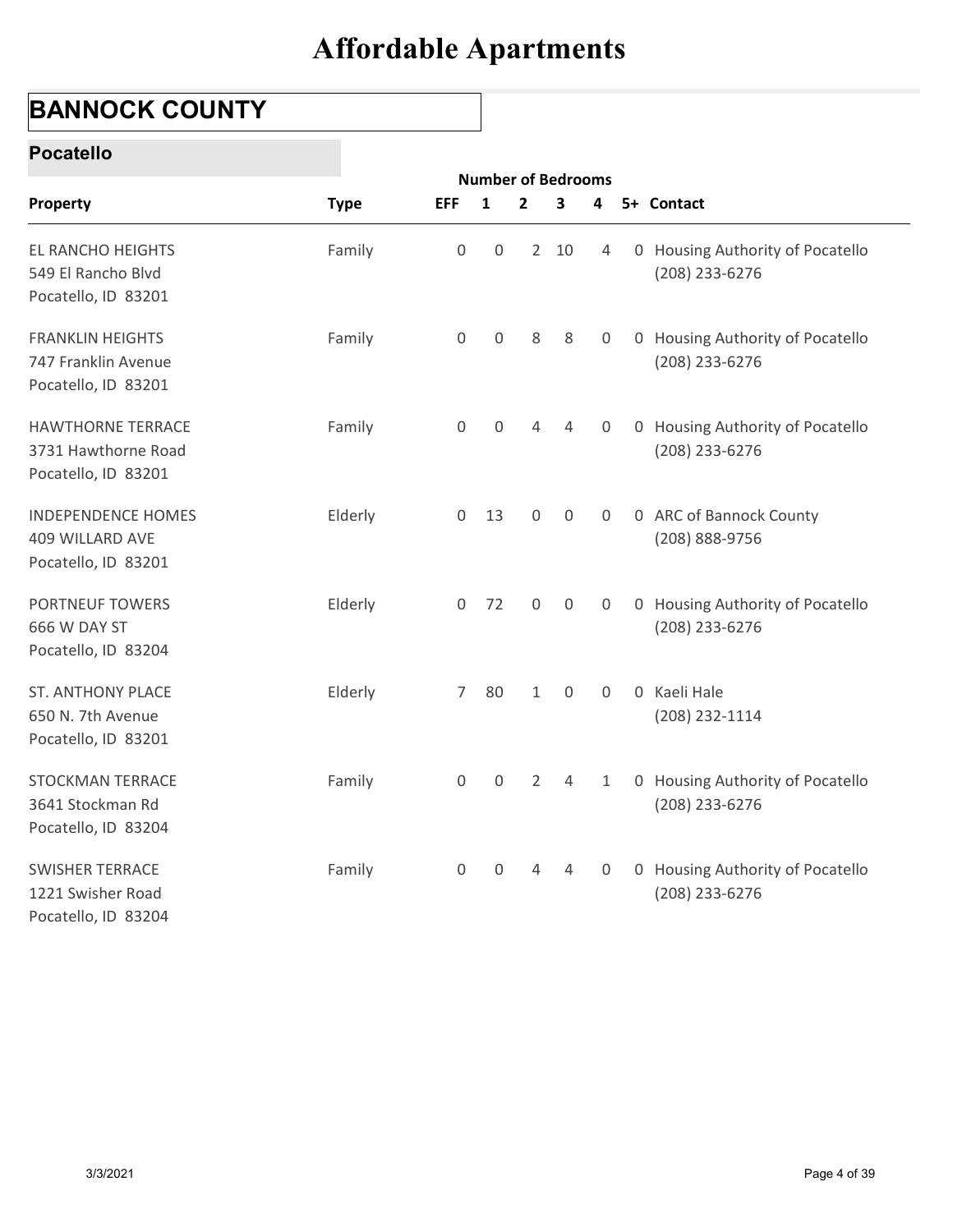## BANNOCK COUNTY

#### Pocatello

| <b>BANNOCK COUNTY</b>                                                  |             |                     |                                           |                |              |                |                                                    |
|------------------------------------------------------------------------|-------------|---------------------|-------------------------------------------|----------------|--------------|----------------|----------------------------------------------------|
| <b>Pocatello</b>                                                       |             |                     |                                           |                |              |                |                                                    |
| Property                                                               | <b>Type</b> | <b>EFF</b>          | <b>Number of Bedrooms</b><br>$\mathbf{1}$ | $\overline{2}$ | 3            | 4              | 5+ Contact                                         |
| EL RANCHO HEIGHTS<br>549 El Rancho Blvd<br>Pocatello, ID 83201         | Family      | $\boldsymbol{0}$    | $\boldsymbol{0}$                          |                | $2 \quad 10$ | 4              | 0 Housing Authority of Pocatello<br>(208) 233-6276 |
| <b>FRANKLIN HEIGHTS</b><br>747 Franklin Avenue<br>Pocatello, ID 83201  | Family      | $\mathbf 0$         | 0                                         | 8              | 8            | 0              | 0 Housing Authority of Pocatello<br>(208) 233-6276 |
| <b>HAWTHORNE TERRACE</b><br>3731 Hawthorne Road<br>Pocatello, ID 83201 | Family      | $\mathsf{O}\xspace$ | $\mathbf 0$                               | 4              | 4            | 0              | 0 Housing Authority of Pocatello<br>(208) 233-6276 |
| <b>INDEPENDENCE HOMES</b><br>409 WILLARD AVE<br>Pocatello, ID 83201    | Elderly     | $\overline{0}$      | 13                                        | 0              | $\mathbf 0$  | 0              | 0 ARC of Bannock County<br>(208) 888-9756          |
| PORTNEUF TOWERS<br>666 W DAY ST<br>Pocatello, ID 83204                 | Elderly     | $\mathsf{O}\xspace$ | 72                                        | $\mathbf 0$    | $\mathbf 0$  | 0              | 0 Housing Authority of Pocatello<br>(208) 233-6276 |
| <b>ST. ANTHONY PLACE</b><br>650 N. 7th Avenue<br>Pocatello, ID 83201   | Elderly     | $\overline{7}$      | 80                                        | $\mathbf{1}$   | $\mathbf 0$  | $\mathbf 0$    | 0 Kaeli Hale<br>(208) 232-1114                     |
| STOCKMAN TERRACE<br>3641 Stockman Rd<br>Pocatello, ID 83204            | Family      | $\mathsf{O}\xspace$ | $\mathsf{O}\xspace$                       | $\overline{2}$ | 4            | $\mathbf{1}$   | 0 Housing Authority of Pocatello<br>(208) 233-6276 |
| <b>SWISHER TERRACE</b><br>1221 Swisher Road<br>Pocatello, ID 83204     | Family      | $\boldsymbol{0}$    | $\mathsf{O}$                              | 4              | 4            | $\overline{0}$ | 0 Housing Authority of Pocatello<br>(208) 233-6276 |
|                                                                        |             |                     |                                           |                |              |                |                                                    |
|                                                                        |             |                     |                                           |                |              |                |                                                    |
| 3/3/2021                                                               |             |                     |                                           |                |              |                | Page 4 of 39                                       |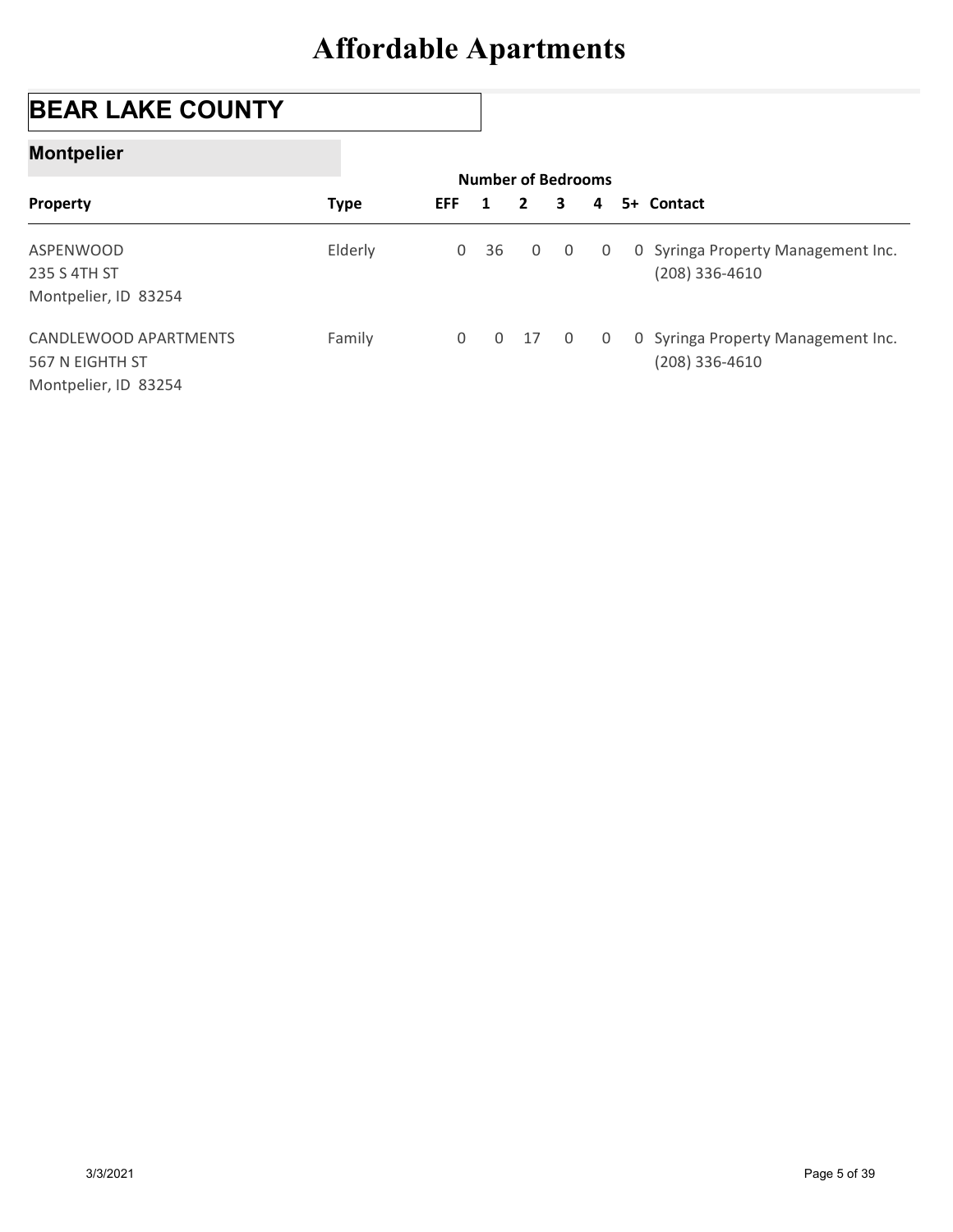## BEAR LAKE COUNTY

#### Montpelier

| <b>BEAR LAKE COUNTY</b> |             |                     |                           |                |             |              |   |                                                        |
|-------------------------|-------------|---------------------|---------------------------|----------------|-------------|--------------|---|--------------------------------------------------------|
| <b>Montpelier</b>       |             |                     |                           |                |             |              |   |                                                        |
|                         |             |                     | <b>Number of Bedrooms</b> |                |             |              |   |                                                        |
| Property                | <b>Type</b> | <b>EFF</b>          | 1                         | $\overline{2}$ |             | 3            | 4 | 5+ Contact                                             |
|                         |             |                     |                           |                |             |              |   | 0 Syringa Property Management Inc.                     |
| ASPENWOOD               |             | $\mathbf 0$         | 36                        |                | $\mathbf 0$ | $\mathbf 0$  | 0 |                                                        |
| 235 S 4TH ST            | Elderly     |                     |                           |                |             |              |   | $(208)$ 336-4610                                       |
| Montpelier, ID 83254    |             |                     |                           |                |             |              |   |                                                        |
| CANDLEWOOD APARTMENTS   | Family      | $\mathsf{O}\xspace$ | $\mathsf{O}\xspace$       |                | 17          | $\mathsf{O}$ | 0 |                                                        |
| 567 N EIGHTH ST         |             |                     |                           |                |             |              |   | 0 Syringa Property Management Inc.<br>$(208)$ 336-4610 |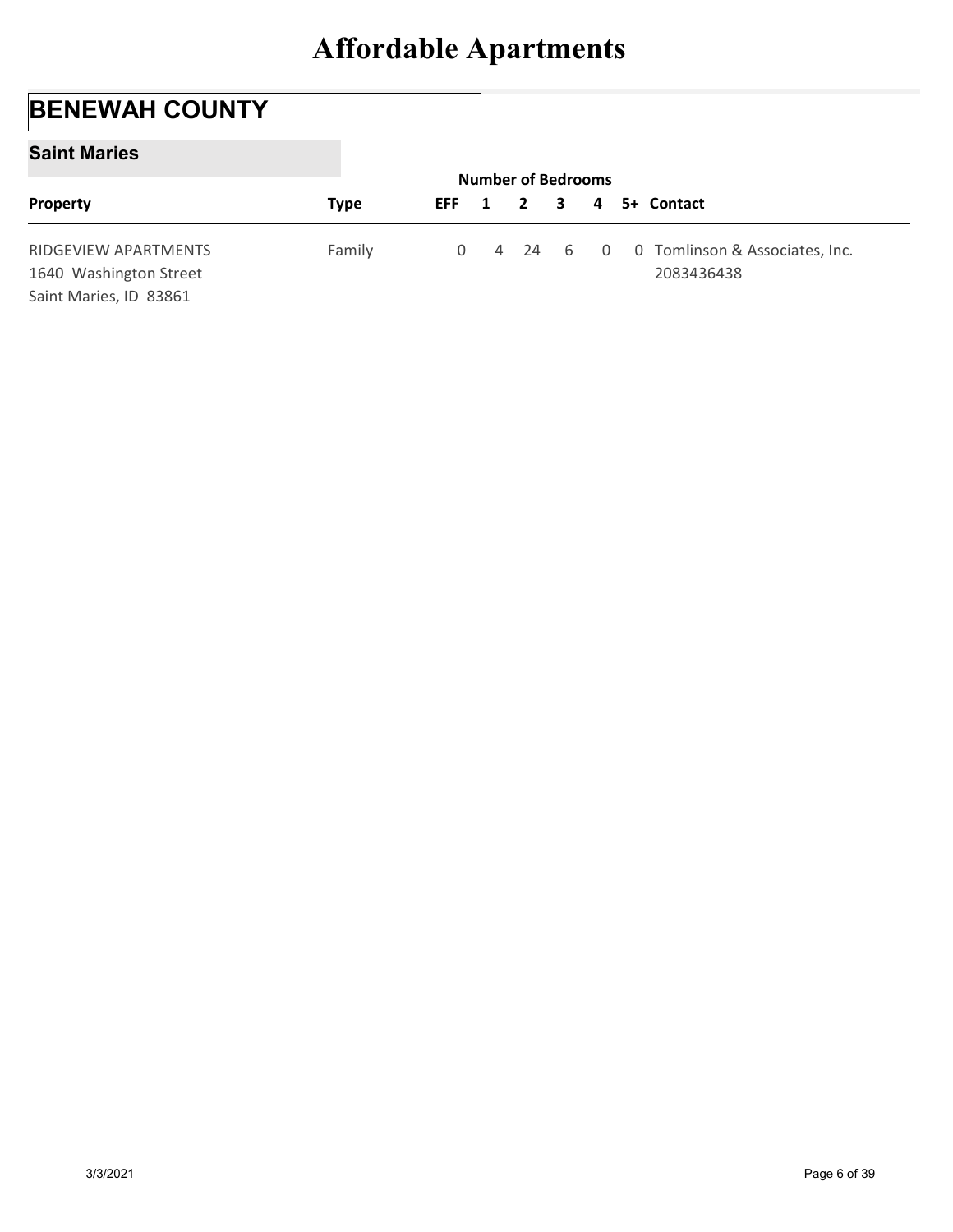## BENEWAH COUNTY

#### Saint Maries

| <b>Affordable Apartments</b><br><b>BENEWAH COUNTY</b><br><b>Saint Maries</b><br><b>Number of Bedrooms</b> |                                                                          |        |             |                |    |   |              |                                              |
|-----------------------------------------------------------------------------------------------------------|--------------------------------------------------------------------------|--------|-------------|----------------|----|---|--------------|----------------------------------------------|
|                                                                                                           |                                                                          |        |             |                |    |   |              |                                              |
|                                                                                                           |                                                                          |        |             |                |    |   |              |                                              |
|                                                                                                           |                                                                          |        |             |                |    |   |              |                                              |
| Property<br><b>EFF</b><br><b>Type</b><br>5+ Contact<br>$\mathbf{2}$<br>3<br>1<br>4                        |                                                                          |        |             |                |    |   |              |                                              |
|                                                                                                           | RIDGEVIEW APARTMENTS<br>1640 Washington Street<br>Saint Maries, ID 83861 | Family | $\mathbf 0$ | $\overline{4}$ | 24 | 6 | $\mathsf{O}$ | 0 Tomlinson & Associates, Inc.<br>2083436438 |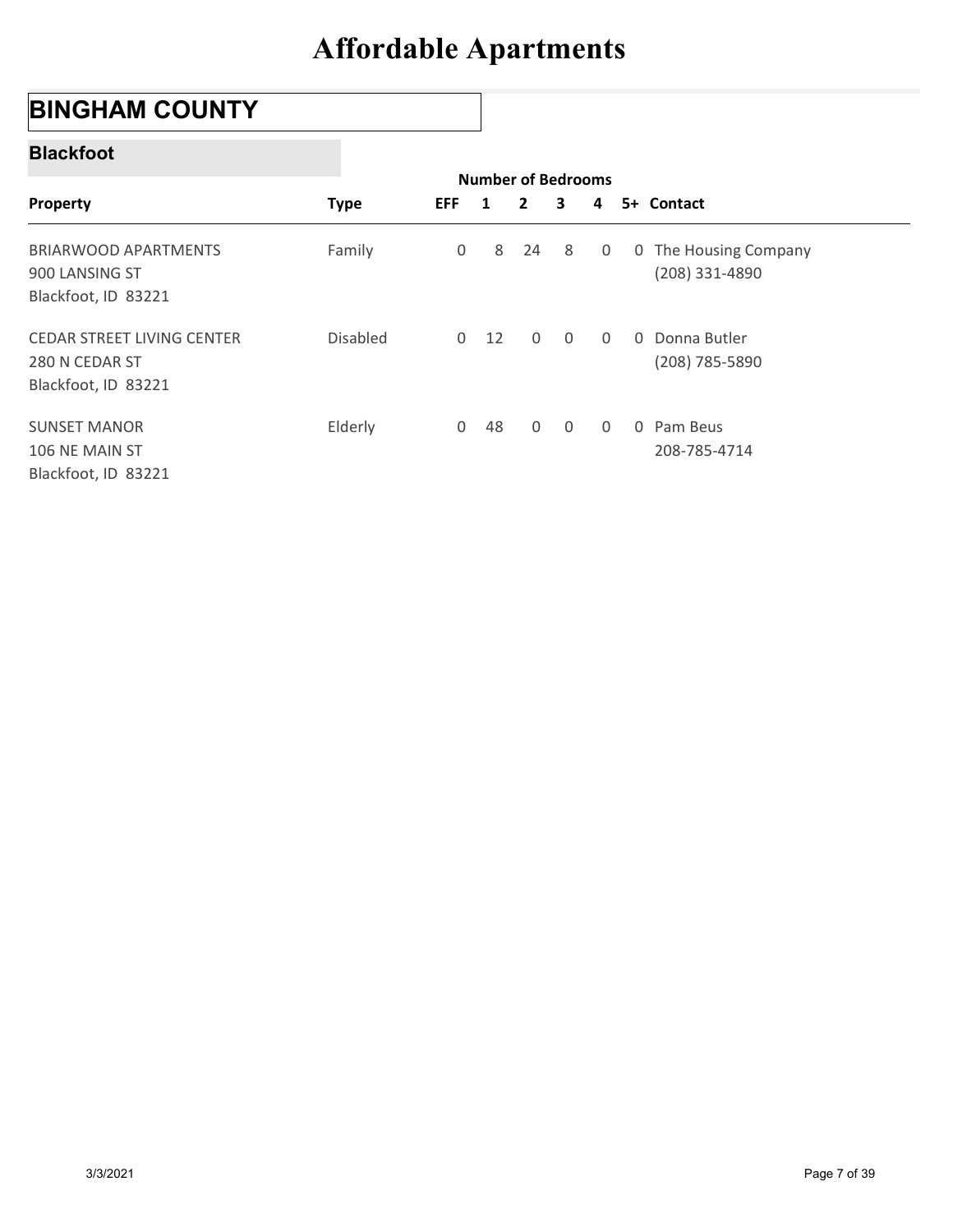## BINGHAM COUNTY

#### Blackfoot

| <b>BINGHAM COUNTY</b>                                                |             |             |                         |                                           |                |                |   |                                       |
|----------------------------------------------------------------------|-------------|-------------|-------------------------|-------------------------------------------|----------------|----------------|---|---------------------------------------|
| <b>Blackfoot</b>                                                     |             |             |                         |                                           |                |                |   |                                       |
| Property                                                             | <b>Type</b> | <b>EFF</b>  | $\overline{\mathbf{1}}$ | <b>Number of Bedrooms</b><br>$\mathbf{2}$ | 3              | 4              |   | 5+ Contact                            |
| <b>BRIARWOOD APARTMENTS</b><br>900 LANSING ST<br>Blackfoot, ID 83221 | Family      | $\mathbf 0$ | 8                       | 24                                        | 8              | 0              | 0 | The Housing Company<br>(208) 331-4890 |
| CEDAR STREET LIVING CENTER<br>280 N CEDAR ST<br>Blackfoot, ID 83221  | Disabled    |             | $0$ 12                  | $\mathsf{O}$                              | $\overline{0}$ | $\overline{0}$ |   | 0 Donna Butler<br>(208) 785-5890      |
| <b>SUNSET MANOR</b><br>106 NE MAIN ST<br>Blackfoot, ID 83221         | Elderly     |             | $0$ 48                  | $\mathsf 0$                               | $\overline{0}$ | $\mathbf 0$    |   | 0 Pam Beus<br>208-785-4714            |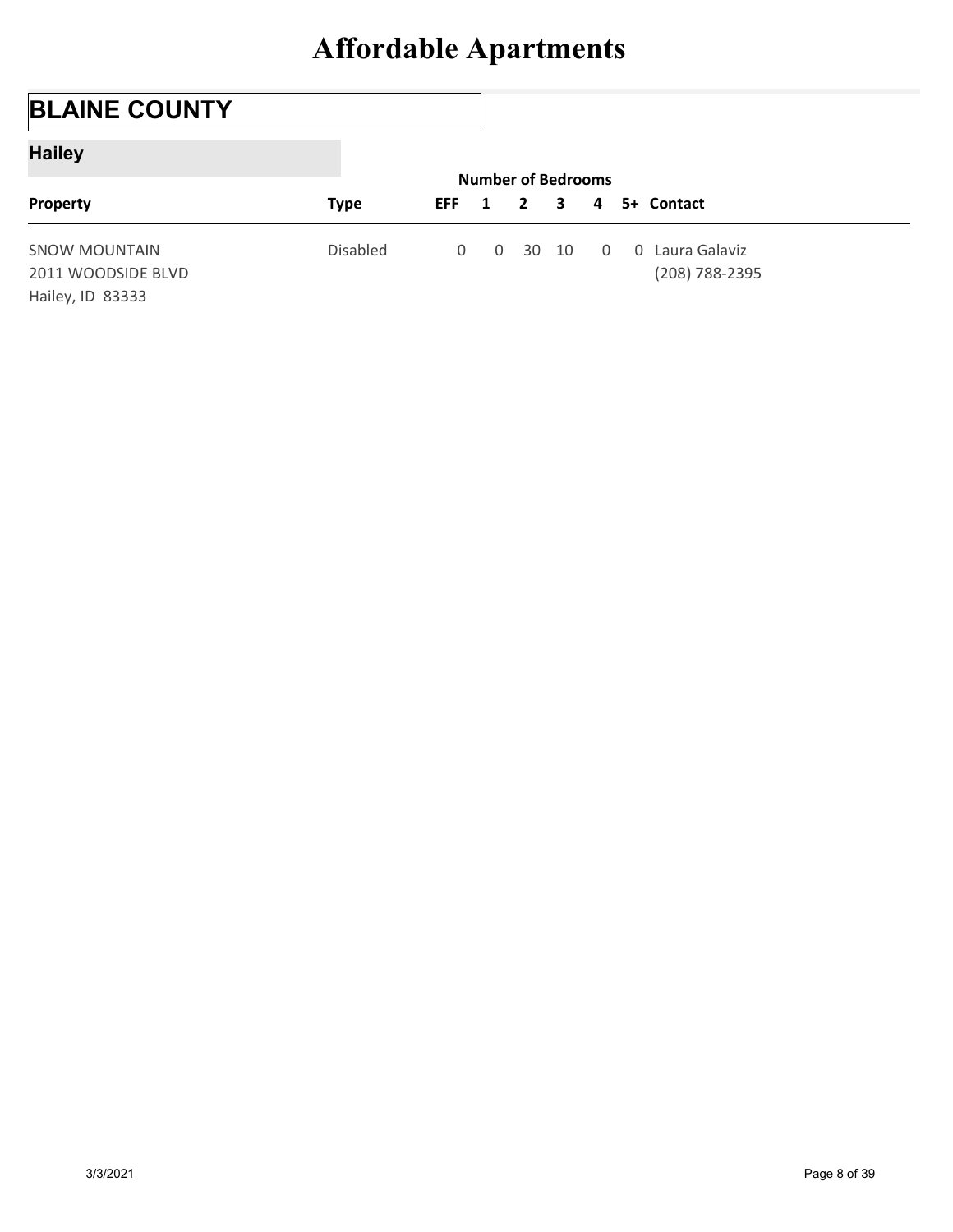## BLAINE COUNTY

### Hailey

|                                                                | <b>Affordable Apartments</b> |             |                                |              |       |                |                                   |  |
|----------------------------------------------------------------|------------------------------|-------------|--------------------------------|--------------|-------|----------------|-----------------------------------|--|
|                                                                |                              |             |                                |              |       |                |                                   |  |
| <b>BLAINE COUNTY</b>                                           |                              |             |                                |              |       |                |                                   |  |
| <b>Hailey</b>                                                  |                              |             |                                |              |       |                |                                   |  |
| Property                                                       | <b>Type</b>                  | <b>EFF</b>  | <b>Number of Bedrooms</b><br>1 | $\mathbf{2}$ | 3     | 4              | 5+ Contact                        |  |
| <b>SNOW MOUNTAIN</b><br>2011 WOODSIDE BLVD<br>Hailey, ID 83333 | Disabled                     | $\mathbf 0$ | $\mathbf 0$                    |              | 30 10 | $\overline{0}$ | 0 Laura Galaviz<br>(208) 788-2395 |  |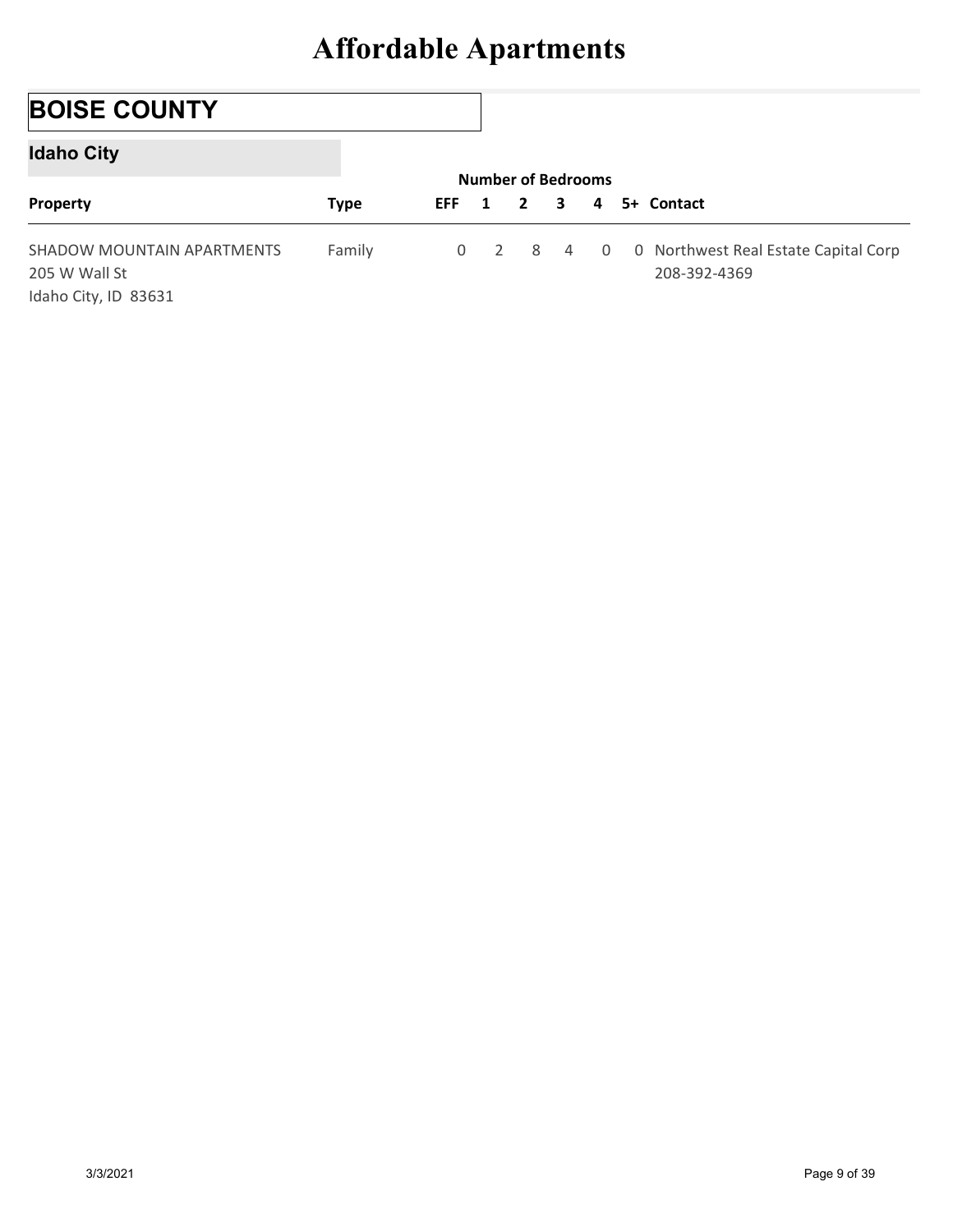## BOISE COUNTY

### Idaho City

|                                                                     | <b>Affordable Apartments</b> |                |                                |              |                |             |                                                      |
|---------------------------------------------------------------------|------------------------------|----------------|--------------------------------|--------------|----------------|-------------|------------------------------------------------------|
|                                                                     |                              |                |                                |              |                |             |                                                      |
| <b>BOISE COUNTY</b>                                                 |                              |                |                                |              |                |             |                                                      |
| <b>Idaho City</b>                                                   |                              |                |                                |              |                |             |                                                      |
| Property                                                            | <b>Type</b>                  | <b>EFF</b>     | <b>Number of Bedrooms</b><br>1 | $\mathbf{2}$ | 3              | 4           | 5+ Contact                                           |
| SHADOW MOUNTAIN APARTMENTS<br>205 W Wall St<br>Idaho City, ID 83631 | Family                       | $\overline{0}$ | $\overline{2}$                 | 8            | $\overline{4}$ | $\mathbf 0$ | 0 Northwest Real Estate Capital Corp<br>208-392-4369 |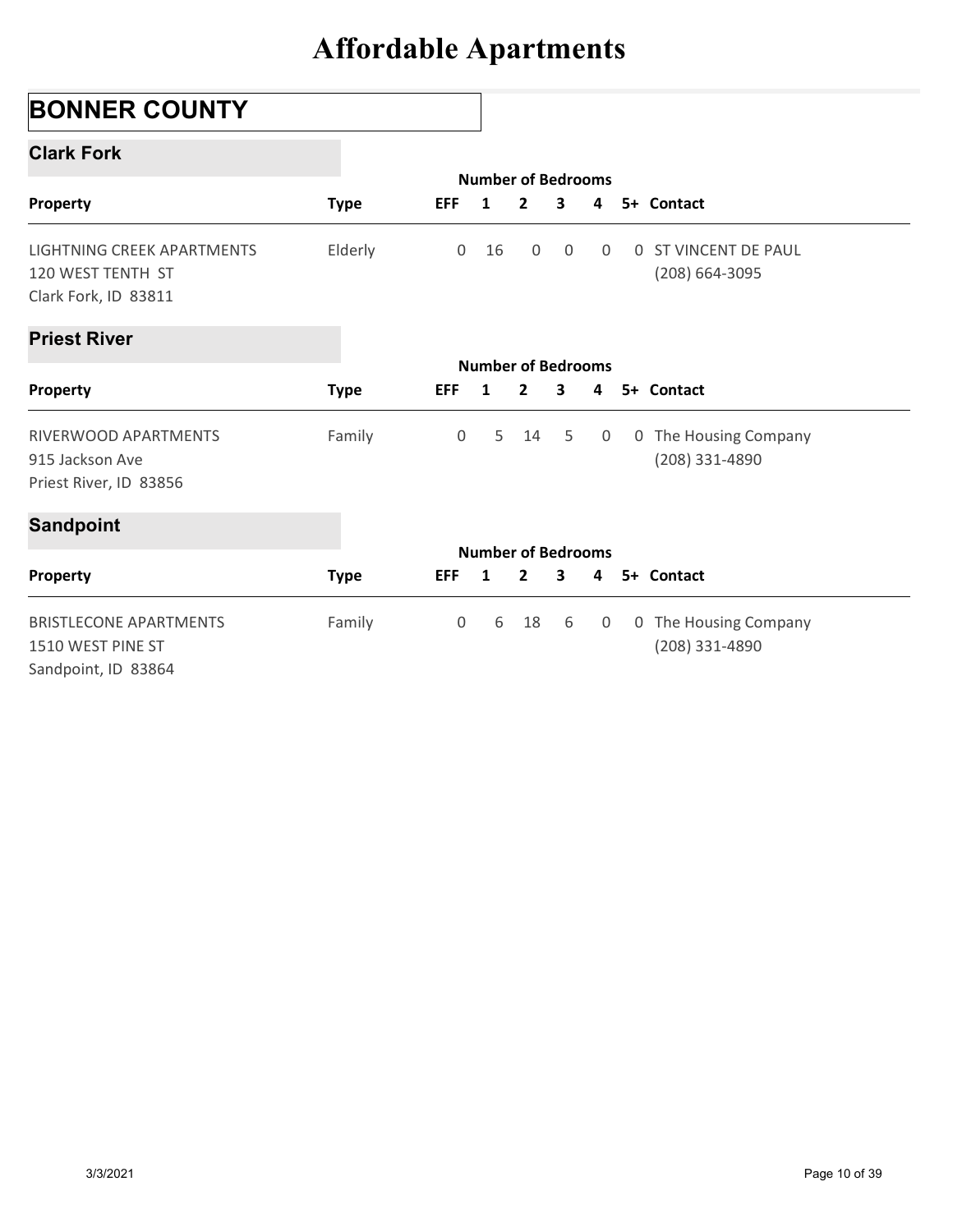## BONNER COUNTY

#### Clark Fork

| <b>BONNER COUNTY</b>                                                      |             |                |                                 |                |                |   |                                               |
|---------------------------------------------------------------------------|-------------|----------------|---------------------------------|----------------|----------------|---|-----------------------------------------------|
| <b>Clark Fork</b>                                                         |             |                |                                 |                |                |   |                                               |
| Property                                                                  | <b>Type</b> | <b>EFF</b>     | <b>Number of Bedrooms</b><br>1  | $\overline{2}$ | 3              | 4 | 5+ Contact                                    |
| LIGHTNING CREEK APARTMENTS<br>120 WEST TENTH ST<br>Clark Fork, ID 83811   | Elderly     | $\overline{0}$ | 16                              | 0              | $\overline{0}$ | 0 | <b>0 ST VINCENT DE PAUL</b><br>(208) 664-3095 |
| <b>Priest River</b>                                                       |             |                |                                 |                |                |   |                                               |
| Property                                                                  | <b>Type</b> | <b>EFF</b>     | <b>Number of Bedrooms</b><br>-1 | $\mathbf{2}$   | 3              | 4 | 5+ Contact                                    |
| RIVERWOOD APARTMENTS<br>915 Jackson Ave<br>Priest River, ID 83856         | Family      | 0              | 5                               | 14             | 5              | 0 | 0 The Housing Company<br>(208) 331-4890       |
| <b>Sandpoint</b>                                                          |             |                |                                 |                |                |   |                                               |
| Property                                                                  | <b>Type</b> | EFF 1          | <b>Number of Bedrooms</b>       | $\overline{2}$ | $\mathbf{3}$   | 4 | 5+ Contact                                    |
| <b>BRISTLECONE APARTMENTS</b><br>1510 WEST PINE ST<br>Sandpoint, ID 83864 | Family      | $\mathsf{O}$   | 6                               | 18             | 6              | 0 | 0 The Housing Company<br>(208) 331-4890       |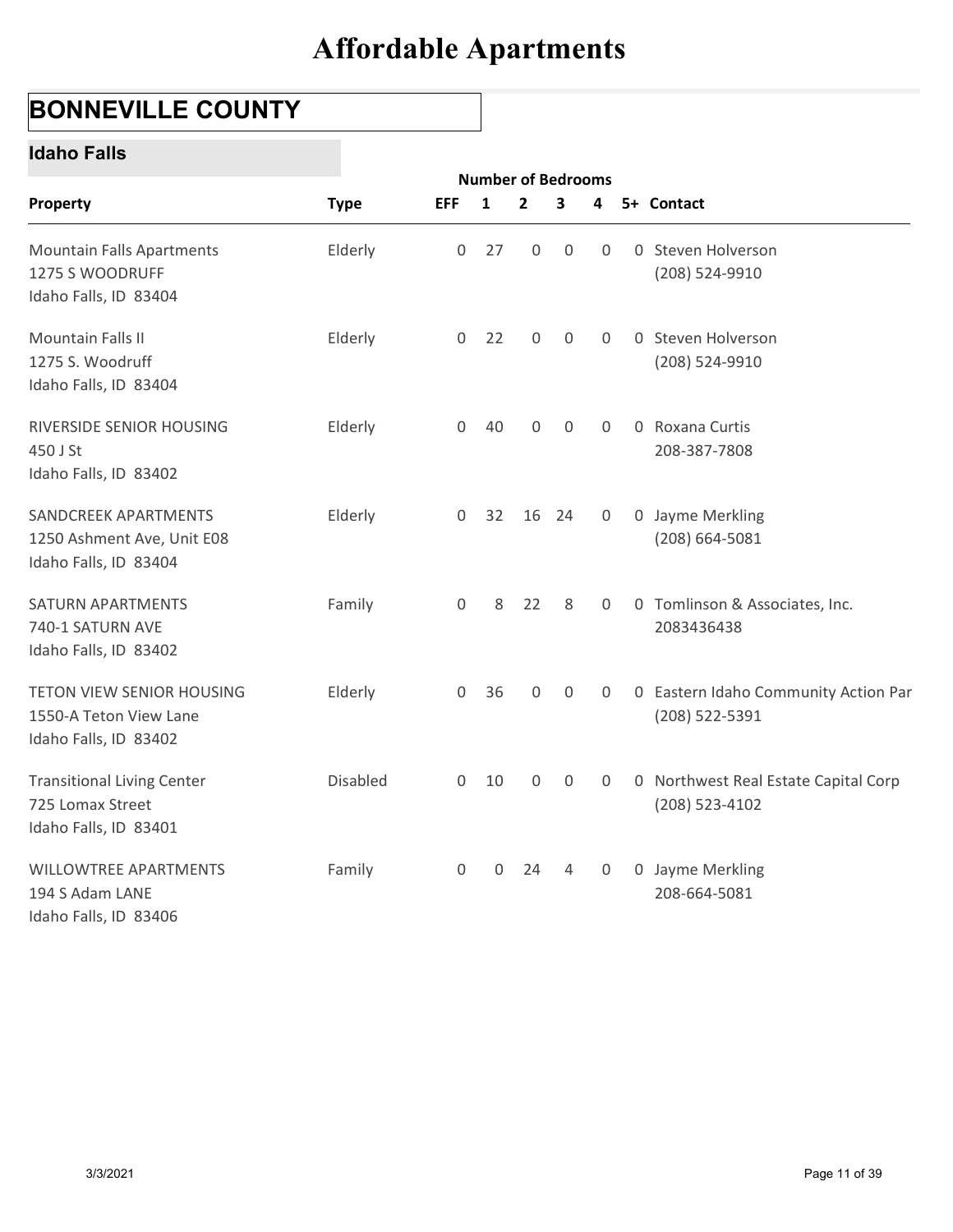## BONNEVILLE COUNTY

#### Idaho Falls

| <b>BONNEVILLE COUNTY</b>                                                       |             |                     |                                |              |             |                |   |                                                          |
|--------------------------------------------------------------------------------|-------------|---------------------|--------------------------------|--------------|-------------|----------------|---|----------------------------------------------------------|
| <b>Idaho Falls</b>                                                             |             |                     |                                |              |             |                |   |                                                          |
| Property                                                                       | <b>Type</b> | <b>EFF</b>          | <b>Number of Bedrooms</b><br>1 | $\mathbf{2}$ | 3           | 4              |   | 5+ Contact                                               |
| <b>Mountain Falls Apartments</b><br>1275 S WOODRUFF<br>Idaho Falls, ID 83404   | Elderly     | $\mathsf{O}$        | 27                             | 0            | $\mathbf 0$ | $\overline{0}$ | 0 | Steven Holverson<br>(208) 524-9910                       |
| Mountain Falls II<br>1275 S. Woodruff<br>Idaho Falls, ID 83404                 | Elderly     | $\overline{0}$      | 22                             | $\mathsf{O}$ | $\mathbf 0$ | $\overline{0}$ |   | 0 Steven Holverson<br>(208) 524-9910                     |
| RIVERSIDE SENIOR HOUSING<br>450 J St<br>Idaho Falls, ID 83402                  | Elderly     | $\mathsf{O}$        | 40                             | 0            | 0           | 0              |   | 0 Roxana Curtis<br>208-387-7808                          |
| SANDCREEK APARTMENTS<br>1250 Ashment Ave, Unit E08<br>Idaho Falls, ID 83404    | Elderly     | $\overline{0}$      |                                | 32 16 24     |             | $\overline{0}$ |   | 0 Jayme Merkling<br>$(208) 664 - 5081$                   |
| SATURN APARTMENTS<br>740-1 SATURN AVE<br>Idaho Falls, ID 83402                 | Family      | $\mathsf{O}\xspace$ | 8                              | 22           | 8           | 0              |   | 0 Tomlinson & Associates, Inc.<br>2083436438             |
| TETON VIEW SENIOR HOUSING<br>1550-A Teton View Lane<br>Idaho Falls, ID 83402   | Elderly     | $\mathsf{O}$        | 36                             | $\mathsf{O}$ | $\mathbf 0$ | 0              |   | 0 Eastern Idaho Community Action Par<br>(208) 522-5391   |
| <b>Transitional Living Center</b><br>725 Lomax Street<br>Idaho Falls, ID 83401 | Disabled    | $\overline{0}$      | 10                             | 0            | $\mathbf 0$ | 0              |   | 0 Northwest Real Estate Capital Corp<br>$(208)$ 523-4102 |
| WILLOWTREE APARTMENTS<br>194 S Adam LANE<br>Idaho Falls, ID 83406              | Family      | $\mathsf{O}$        | $\mathbf 0$                    | 24           | 4           | $\overline{0}$ |   | 0 Jayme Merkling<br>208-664-5081                         |
|                                                                                |             |                     |                                |              |             |                |   |                                                          |
|                                                                                |             |                     |                                |              |             |                |   |                                                          |
|                                                                                |             |                     |                                |              |             |                |   |                                                          |
| 3/3/2021                                                                       |             |                     |                                |              |             |                |   | Page 11 of 39                                            |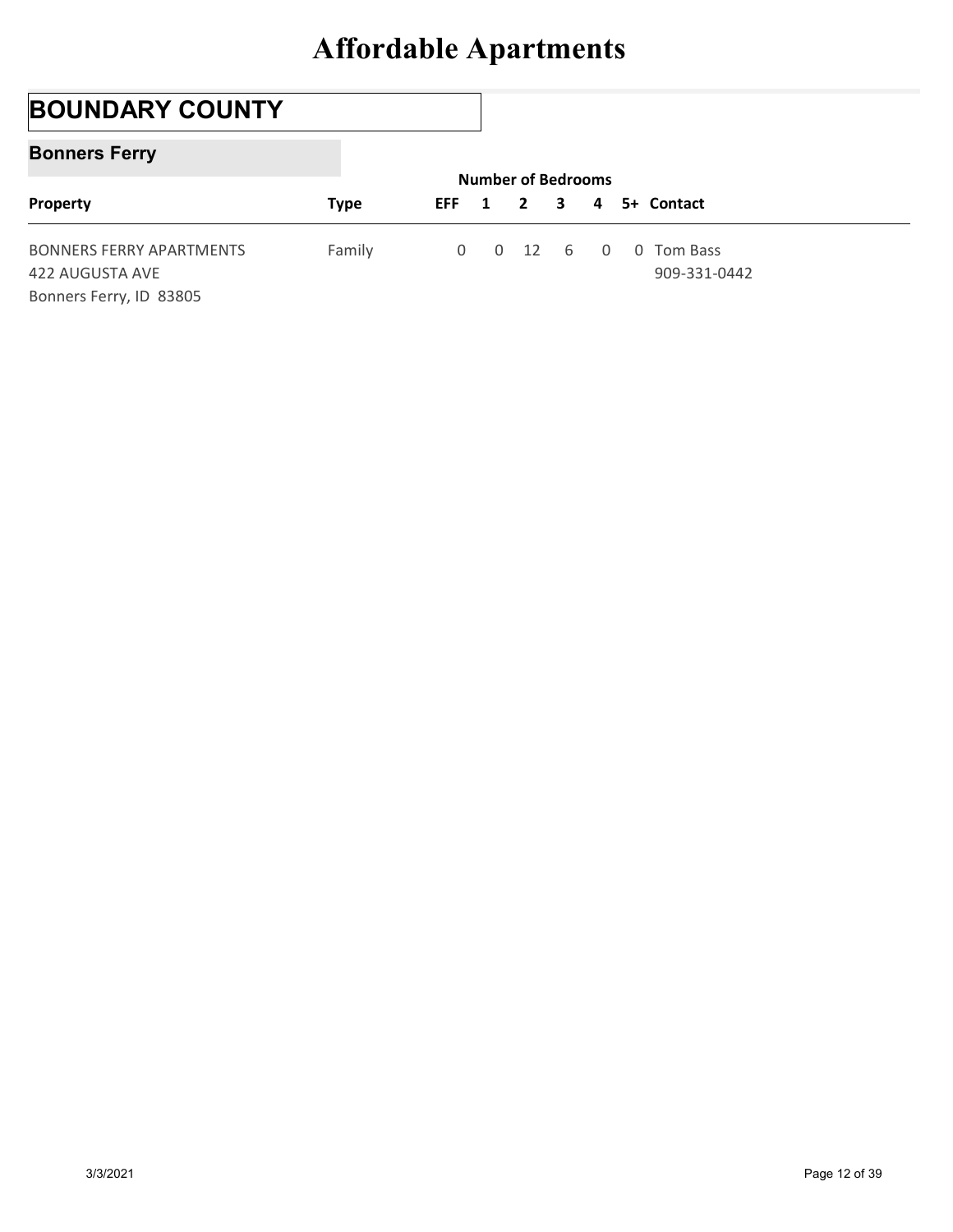## BOUNDARY COUNTY

#### Bonners Ferry

|                                                                               | <b>Affordable Apartments</b> |             |             |                                           |   |             |                            |  |
|-------------------------------------------------------------------------------|------------------------------|-------------|-------------|-------------------------------------------|---|-------------|----------------------------|--|
|                                                                               |                              |             |             |                                           |   |             |                            |  |
| <b>BOUNDARY COUNTY</b>                                                        |                              |             |             |                                           |   |             |                            |  |
| <b>Bonners Ferry</b>                                                          |                              |             |             |                                           |   |             |                            |  |
| Property                                                                      | <b>Type</b>                  | <b>EFF</b>  | 1           | <b>Number of Bedrooms</b><br>$\mathbf{2}$ | 3 | 4           | 5+ Contact                 |  |
| <b>BONNERS FERRY APARTMENTS</b><br>422 AUGUSTA AVE<br>Bonners Ferry, ID 83805 | Family                       | $\mathbf 0$ | $\mathbf 0$ | 12                                        | 6 | $\mathbf 0$ | 0 Tom Bass<br>909-331-0442 |  |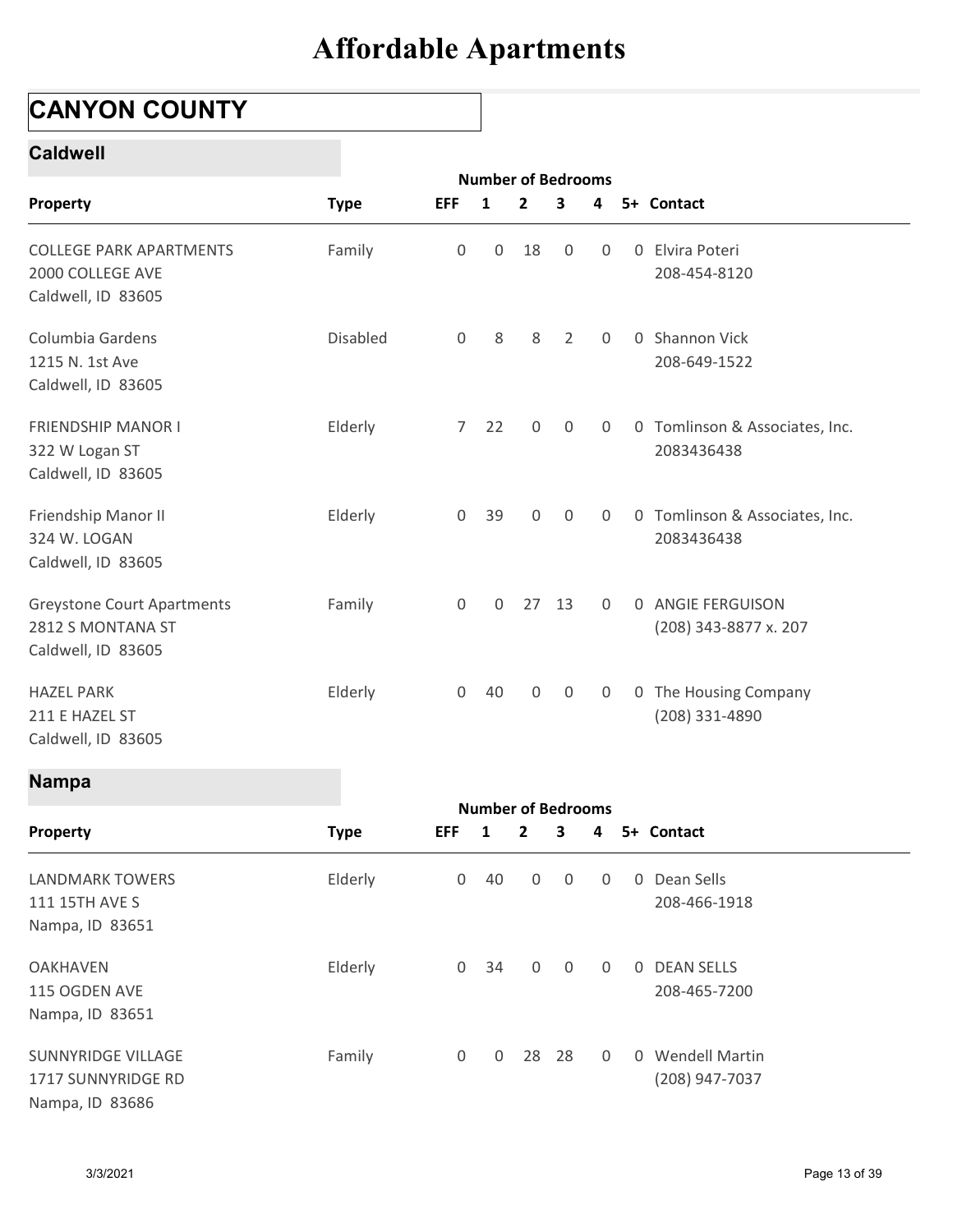## CANYON COUNTY

#### Caldwell

| <b>CANYON COUNTY</b>                                                     |             |                     |              |                                |                |                |   |                                |
|--------------------------------------------------------------------------|-------------|---------------------|--------------|--------------------------------|----------------|----------------|---|--------------------------------|
| <b>Caldwell</b>                                                          |             |                     |              |                                |                |                |   |                                |
| Property                                                                 | <b>Type</b> | <b>EFF</b>          | 1            | <b>Number of Bedrooms</b><br>2 | 3              | 4              |   | 5+ Contact                     |
|                                                                          |             |                     |              |                                |                |                |   |                                |
| <b>COLLEGE PARK APARTMENTS</b><br>2000 COLLEGE AVE<br>Caldwell, ID 83605 | Family      | 0                   | 0            | 18                             | $\mathbf 0$    | 0              | 0 | Elvira Poteri<br>208-454-8120  |
| Columbia Gardens                                                         | Disabled    | $\mathbf 0$         | 8            | 8                              | $\overline{2}$ | $\mathbf 0$    |   | 0 Shannon Vick                 |
| 1215 N. 1st Ave<br>Caldwell, ID 83605                                    |             |                     |              |                                |                |                |   | 208-649-1522                   |
| <b>FRIENDSHIP MANOR I</b>                                                | Elderly     | 7 <sup>7</sup>      | 22           | 0                              | $\mathbf 0$    | 0              |   | 0 Tomlinson & Associates, Inc. |
| 322 W Logan ST<br>Caldwell, ID 83605                                     |             |                     |              |                                |                |                |   | 2083436438                     |
| Friendship Manor II                                                      | Elderly     | $\mathbf 0$         | 39           | 0                              | $\mathbf 0$    | 0              |   | 0 Tomlinson & Associates, Inc. |
| 324 W. LOGAN<br>Caldwell, ID 83605                                       |             |                     |              |                                |                |                |   | 2083436438                     |
| <b>Greystone Court Apartments</b>                                        | Family      | $\mathsf{O}\xspace$ | $\mathbf 0$  |                                | 27 13          | $\overline{0}$ |   | 0 ANGIE FERGUISON              |
| 2812 S MONTANA ST<br>Caldwell, ID 83605                                  |             |                     |              |                                |                |                |   | (208) 343-8877 x. 207          |
| <b>HAZEL PARK</b>                                                        | Elderly     |                     | $0$ 40       | $\mathsf{O}\xspace$            | $\overline{0}$ | 0              |   | 0 The Housing Company          |
| 211 E HAZEL ST<br>Caldwell, ID 83605                                     |             |                     |              |                                |                |                |   | (208) 331-4890                 |
| <b>Nampa</b>                                                             |             |                     |              | <b>Number of Bedrooms</b>      |                |                |   |                                |
| Property                                                                 | <b>Type</b> | <b>EFF</b>          | $\mathbf{1}$ | $\mathbf{2}$                   | 3              | 4              |   | 5+ Contact                     |
| <b>LANDMARK TOWERS</b>                                                   | Elderly     | $\overline{0}$      | 40           | $\mathsf{O}\xspace$            | $\mathbf 0$    | 0              |   | 0 Dean Sells                   |
| 111 15TH AVE S                                                           |             |                     |              |                                |                |                |   | 208-466-1918                   |
| Nampa, ID 83651                                                          |             |                     |              |                                |                |                |   |                                |
| <b>OAKHAVEN</b><br>115 OGDEN AVE                                         | Elderly     | $\mathbf 0$         | 34           | $\boldsymbol{0}$               | $\overline{0}$ | $\overline{0}$ |   | 0 DEAN SELLS<br>208-465-7200   |
|                                                                          |             |                     |              |                                |                |                |   |                                |

#### Nampa

| <b>Greystone Court Apartments</b><br>2812 S MONTANA ST<br>Caldwell, ID 83605 | Family      | $\mathsf{O}$        | $\mathbf 0$               |                | 27 13          | $\Omega$       |  | 0 ANGIE FERGUISON<br>(208) 343-8877 x. 207 |
|------------------------------------------------------------------------------|-------------|---------------------|---------------------------|----------------|----------------|----------------|--|--------------------------------------------|
| <b>HAZEL PARK</b><br>211 E HAZEL ST<br>Caldwell, ID 83605                    | Elderly     | $\mathsf{O}$        | 40                        | $\mathsf{O}$   | $\overline{0}$ | 0              |  | 0 The Housing Company<br>(208) 331-4890    |
| <b>Nampa</b>                                                                 |             |                     |                           |                |                |                |  |                                            |
|                                                                              |             |                     | <b>Number of Bedrooms</b> |                |                |                |  |                                            |
| Property                                                                     | <b>Type</b> | <b>EFF</b>          | $\mathbf{1}$              | $\overline{2}$ | 3              | 4              |  | 5+ Contact                                 |
| <b>LANDMARK TOWERS</b><br>111 15TH AVE S<br>Nampa, ID 83651                  | Elderly     | $\overline{0}$      | 40                        | $\mathbf 0$    | $\mathbf 0$    | $\mathbf 0$    |  | 0 Dean Sells<br>208-466-1918               |
| <b>OAKHAVEN</b><br>115 OGDEN AVE<br>Nampa, ID 83651                          | Elderly     | $\mathsf{O}$        | 34                        | $\mathbf 0$    | $\overline{0}$ | $\overline{0}$ |  | 0 DEAN SELLS<br>208-465-7200               |
| SUNNYRIDGE VILLAGE<br>1717 SUNNYRIDGE RD<br>Nampa, ID 83686                  | Family      | $\mathsf{O}\xspace$ | $\mathbf 0$               |                | 28 28          | $\overline{0}$ |  | 0 Wendell Martin<br>(208) 947-7037         |
| 3/3/2021                                                                     |             |                     |                           |                |                |                |  | Page 13 of 39                              |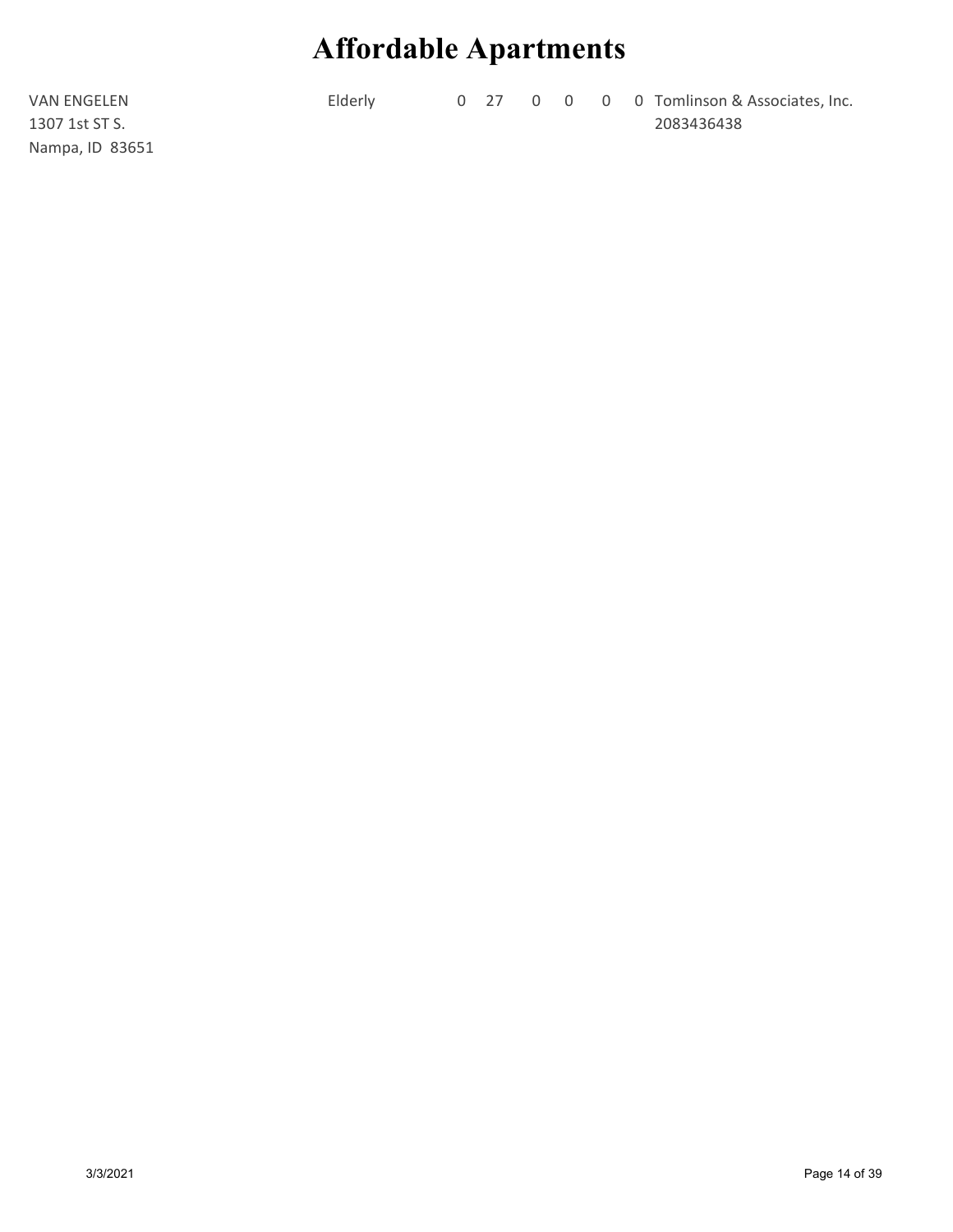**Supervalue distribution Apartments**<br>Elderly 0 27 0 0 0 0 Tomlinson & Associates, Inc.<br>2083436438 2083436438

VAN ENGELEN 1307 1st ST S. Nampa, ID 83651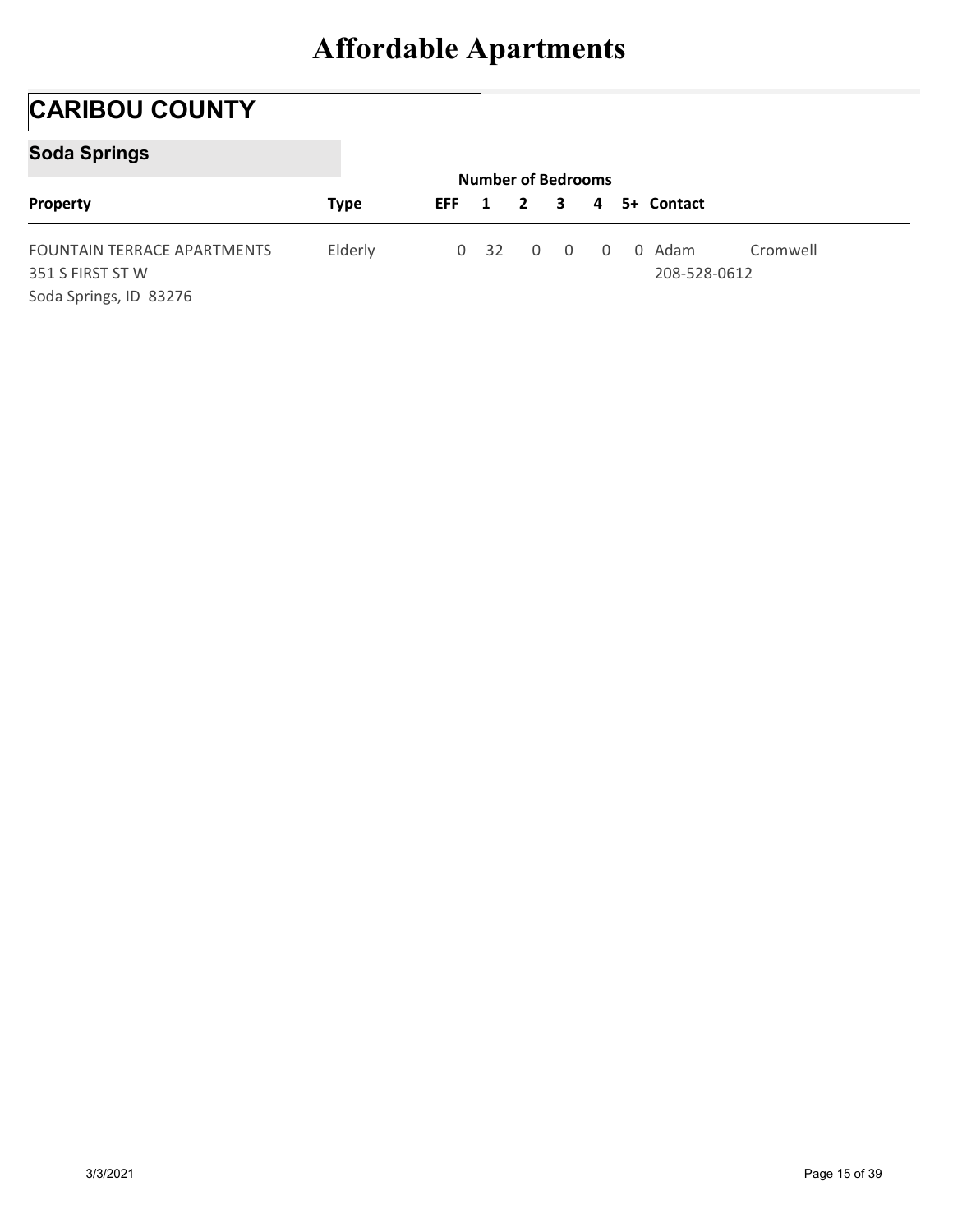## CARIBOU COUNTY

### Soda Springs

|                                                                           | <b>Affordable Apartments</b> |            |                 |                                           |                |              |                        |          |
|---------------------------------------------------------------------------|------------------------------|------------|-----------------|-------------------------------------------|----------------|--------------|------------------------|----------|
|                                                                           |                              |            |                 |                                           |                |              |                        |          |
| <b>CARIBOU COUNTY</b>                                                     |                              |            |                 |                                           |                |              |                        |          |
| <b>Soda Springs</b>                                                       |                              |            |                 |                                           |                |              |                        |          |
| Property                                                                  | <b>Type</b>                  | <b>EFF</b> | 1               | <b>Number of Bedrooms</b><br>$\mathbf{2}$ | 3              | 4            | 5+ Contact             |          |
| FOUNTAIN TERRACE APARTMENTS<br>351 S FIRST ST W<br>Soda Springs, ID 83276 | Elderly                      |            | 0 <sup>32</sup> | $\mathbf 0$                               | $\overline{0}$ | $\mathsf{O}$ | 0 Adam<br>208-528-0612 | Cromwell |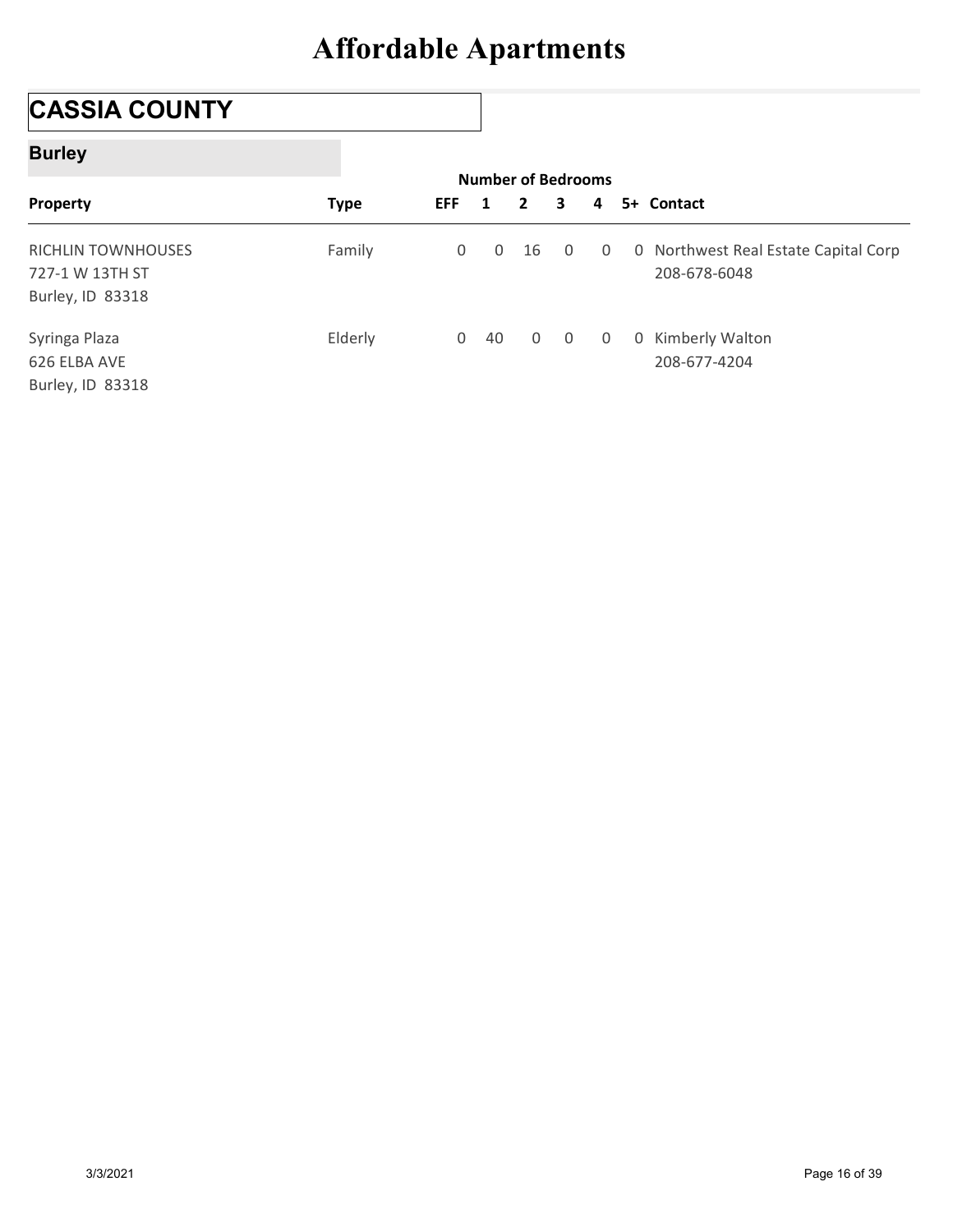## CASSIA COUNTY

### Burley

| <b>CASSIA COUNTY</b>      |             |            |              |              |                           |             |              |                                      |
|---------------------------|-------------|------------|--------------|--------------|---------------------------|-------------|--------------|--------------------------------------|
| <b>Burley</b>             |             |            |              |              |                           |             |              |                                      |
|                           |             |            |              |              | <b>Number of Bedrooms</b> |             |              |                                      |
| Property                  | <b>Type</b> | <b>EFF</b> |              | 1            | $\mathbf{2}$              | 3           | 4            | 5+ Contact                           |
|                           |             |            |              |              |                           |             |              |                                      |
| <b>RICHLIN TOWNHOUSES</b> | Family      |            | $\mathsf{O}$ | $\mathsf{O}$ | 16                        | $\mathbf 0$ | $\mathbf 0$  |                                      |
| 727-1 W 13TH ST           |             |            |              |              |                           |             |              | 208-678-6048                         |
| Burley, ID 83318          |             |            |              |              |                           |             |              | 0 Northwest Real Estate Capital Corp |
| Syringa Plaza             | Elderly     |            |              | $0$ 40       | $\mathbf 0$               | $\mathbf 0$ | $\mathsf{O}$ | 0 Kimberly Walton                    |
| 626 ELBA AVE              |             |            |              |              |                           |             |              | 208-677-4204                         |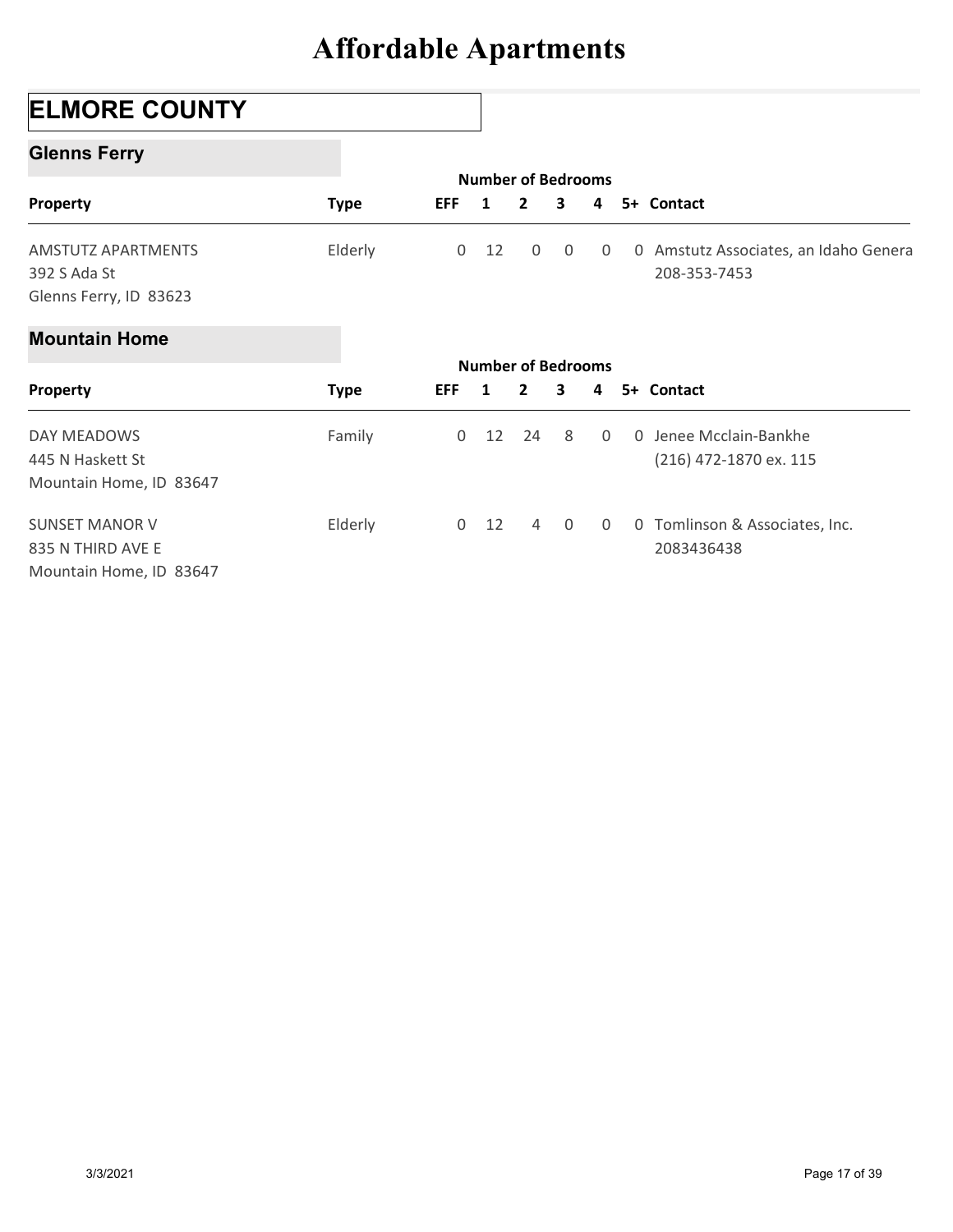## ELMORE COUNTY

### Glenns Ferry

|                           | <b>Affordable Apartments</b> |              |                    |                           |   |                |                                       |
|---------------------------|------------------------------|--------------|--------------------|---------------------------|---|----------------|---------------------------------------|
| <b>ELMORE COUNTY</b>      |                              |              |                    |                           |   |                |                                       |
| <b>Glenns Ferry</b>       |                              |              |                    |                           |   |                |                                       |
|                           |                              |              |                    | <b>Number of Bedrooms</b> |   |                |                                       |
| Property                  | <b>Type</b>                  | <b>EFF</b>   | 1                  | $\mathbf{2}$              | 3 | 4              | 5+ Contact                            |
| <b>AMSTUTZ APARTMENTS</b> | Elderly                      | $\mathsf{O}$ | 12                 | $\mathbf 0$               | 0 | $\overline{0}$ | 0 Amstutz Associates, an Idaho Genera |
| 392 S Ada St              |                              |              |                    |                           |   |                | 208-353-7453                          |
| Glenns Ferry, ID 83623    |                              |              |                    |                           |   |                |                                       |
| <b>Mountain Home</b>      |                              |              |                    |                           |   |                |                                       |
|                           |                              |              | Number of Redrooms |                           |   |                |                                       |

#### Mountain Home

|                                                                     | <b>Allordable Apartments</b> |            |                         |                                             |                |                |                                                       |
|---------------------------------------------------------------------|------------------------------|------------|-------------------------|---------------------------------------------|----------------|----------------|-------------------------------------------------------|
| <b>ELMORE COUNTY</b>                                                |                              |            |                         |                                             |                |                |                                                       |
| <b>Glenns Ferry</b>                                                 |                              |            |                         |                                             |                |                |                                                       |
|                                                                     |                              | EFF        | $\overline{\mathbf{1}}$ | <b>Number of Bedrooms</b><br>$\overline{2}$ | 3              | 4              | 5+ Contact                                            |
| Property                                                            | <b>Type</b>                  |            |                         |                                             |                |                |                                                       |
| <b>AMSTUTZ APARTMENTS</b><br>392 S Ada St<br>Glenns Ferry, ID 83623 | Elderly                      | 0          | 12                      | 0                                           | 0              | 0              | 0 Amstutz Associates, an Idaho Genera<br>208-353-7453 |
| <b>Mountain Home</b>                                                |                              |            |                         |                                             |                |                |                                                       |
|                                                                     |                              |            |                         | <b>Number of Bedrooms</b>                   |                |                |                                                       |
| Property                                                            | <b>Type</b>                  | <b>EFF</b> | $\mathbf{1}$            | $\mathbf{2}$                                | 3              | 4              | 5+ Contact                                            |
| DAY MEADOWS<br>445 N Haskett St                                     | Family                       | 0          | 12                      | 24                                          | 8              | $\Omega$       | 0 Jenee Mcclain-Bankhe<br>(216) 472-1870 ex. 115      |
| Mountain Home, ID 83647                                             |                              |            |                         |                                             |                |                |                                                       |
| <b>SUNSET MANOR V</b>                                               | Elderly                      |            | $0$ 12                  | $\overline{4}$                              | $\overline{0}$ | $\overline{0}$ | 0 Tomlinson & Associates, Inc.                        |
| 835 N THIRD AVE E                                                   |                              |            |                         |                                             |                |                | 2083436438                                            |
| Mountain Home, ID 83647                                             |                              |            |                         |                                             |                |                |                                                       |
|                                                                     |                              |            |                         |                                             |                |                |                                                       |
|                                                                     |                              |            |                         |                                             |                |                |                                                       |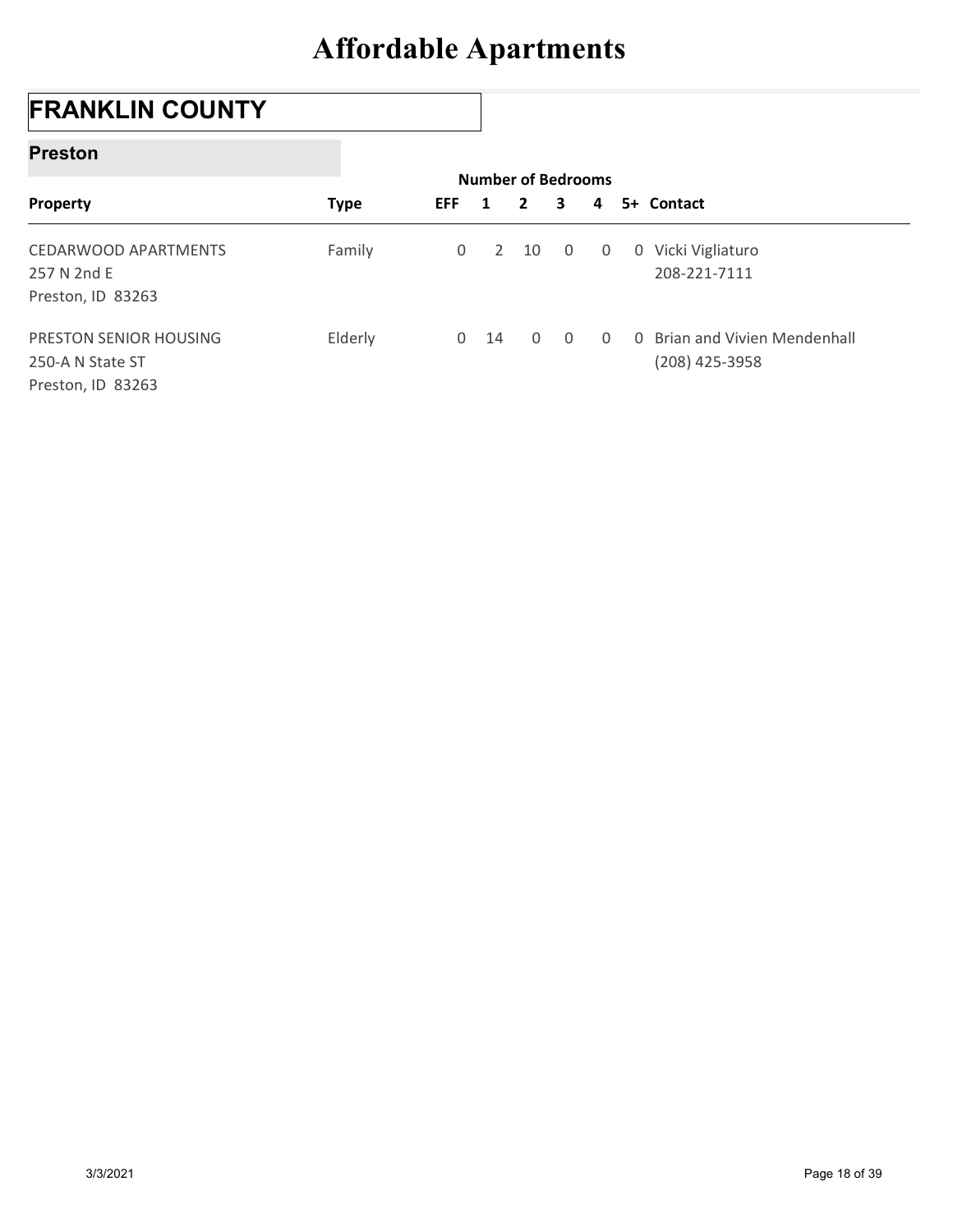## FRANKLIN COUNTY

#### Preston

| <b>Preston</b>                                                  |             |                     |                |                                           |                |             |                                                 |
|-----------------------------------------------------------------|-------------|---------------------|----------------|-------------------------------------------|----------------|-------------|-------------------------------------------------|
| Property                                                        | <b>Type</b> | <b>EFF</b>          | 1              | <b>Number of Bedrooms</b><br>$\mathbf{2}$ | 3              | 4           | 5+ Contact                                      |
| <b>CEDARWOOD APARTMENTS</b><br>257 N 2nd E<br>Preston, ID 83263 | Family      | $\mathsf{O}\xspace$ | $\overline{2}$ | 10                                        | $\overline{0}$ | $\mathbf 0$ | 0 Vicki Vigliaturo<br>208-221-7111              |
| PRESTON SENIOR HOUSING                                          | Elderly     |                     | $0$ 14         | $\mathbf 0$                               | $\overline{0}$ | $\Omega$    | 0 Brian and Vivien Mendenhall<br>(208) 425-3958 |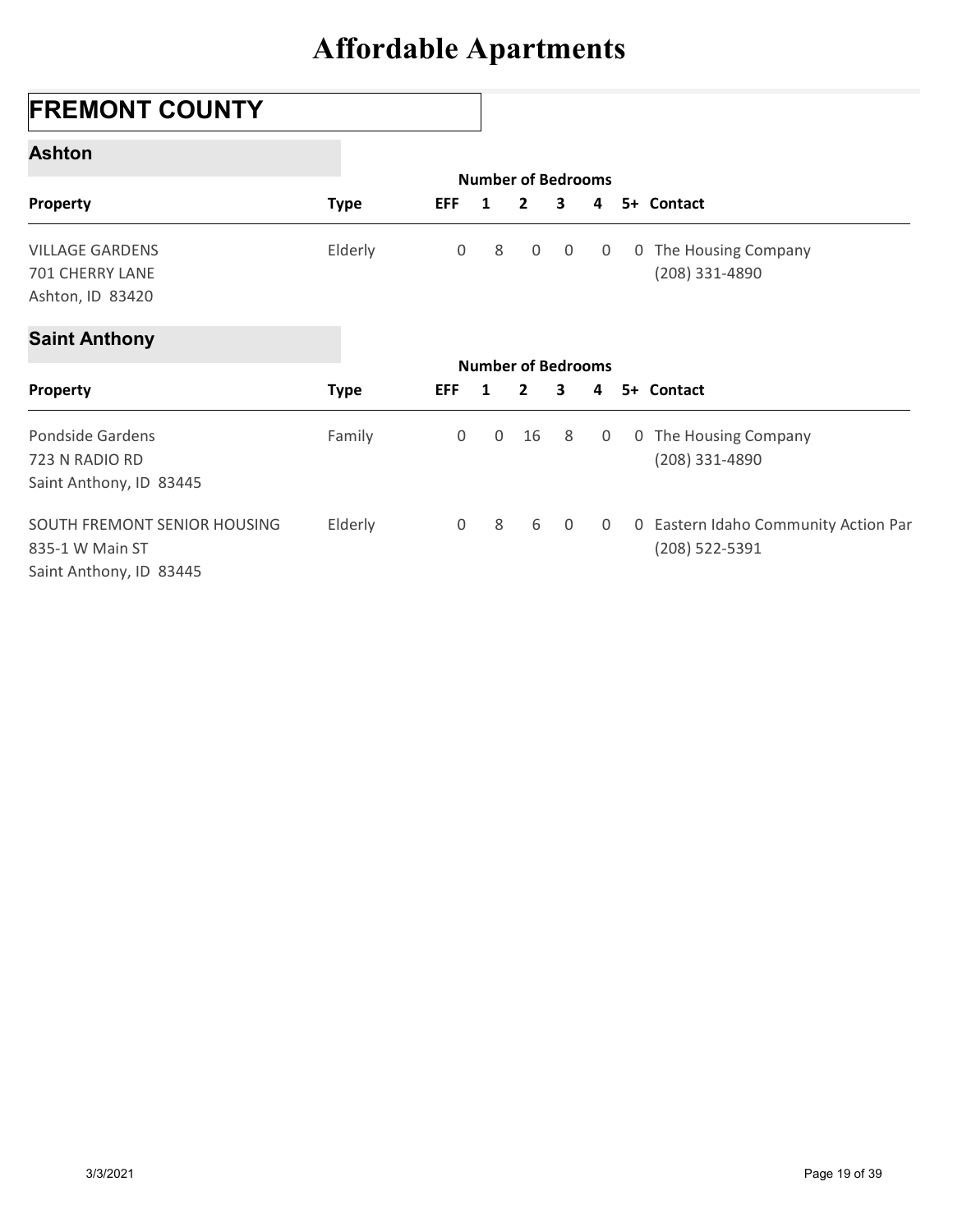## FREMONT COUNTY

#### Ashton

| <b>FREMONT COUNTY</b>               |             |              |              |                                             |             |   |                                      |
|-------------------------------------|-------------|--------------|--------------|---------------------------------------------|-------------|---|--------------------------------------|
| <b>Ashton</b>                       |             |              |              |                                             |             |   |                                      |
| Property                            | <b>Type</b> | <b>EFF</b>   | $\mathbf{1}$ | <b>Number of Bedrooms</b><br>$\overline{2}$ | 3           | 4 | 5+ Contact                           |
|                                     |             |              |              |                                             |             |   |                                      |
| <b>VILLAGE GARDENS</b>              | Elderly     | 0            | 8            | 0                                           | $\mathbf 0$ | 0 | 0 The Housing Company                |
| 701 CHERRY LANE<br>Ashton, ID 83420 |             |              |              |                                             |             |   | (208) 331-4890                       |
| <b>Saint Anthony</b>                |             |              |              |                                             |             |   |                                      |
|                                     |             |              |              | <b>Number of Bedrooms</b>                   |             |   |                                      |
| Property                            | <b>Type</b> | <b>EFF</b>   | $\mathbf{1}$ | $\mathbf{2}$                                | 3           | 4 | 5+ Contact                           |
| Pondside Gardens                    | Family      | 0            | 0            | 16                                          | 8           | 0 | 0 The Housing Company                |
| 723 N RADIO RD                      |             |              |              |                                             |             |   | (208) 331-4890                       |
| Saint Anthony, ID 83445             |             |              |              |                                             |             |   |                                      |
| SOUTH FREMONT SENIOR HOUSING        | Elderly     | $\mathsf{O}$ | 8            | 6                                           | $\mathbf 0$ | 0 | 0 Eastern Idaho Community Action Par |
| 835-1 W Main ST                     |             |              |              |                                             |             |   | (208) 522-5391                       |
| Saint Anthony, ID 83445             |             |              |              |                                             |             |   |                                      |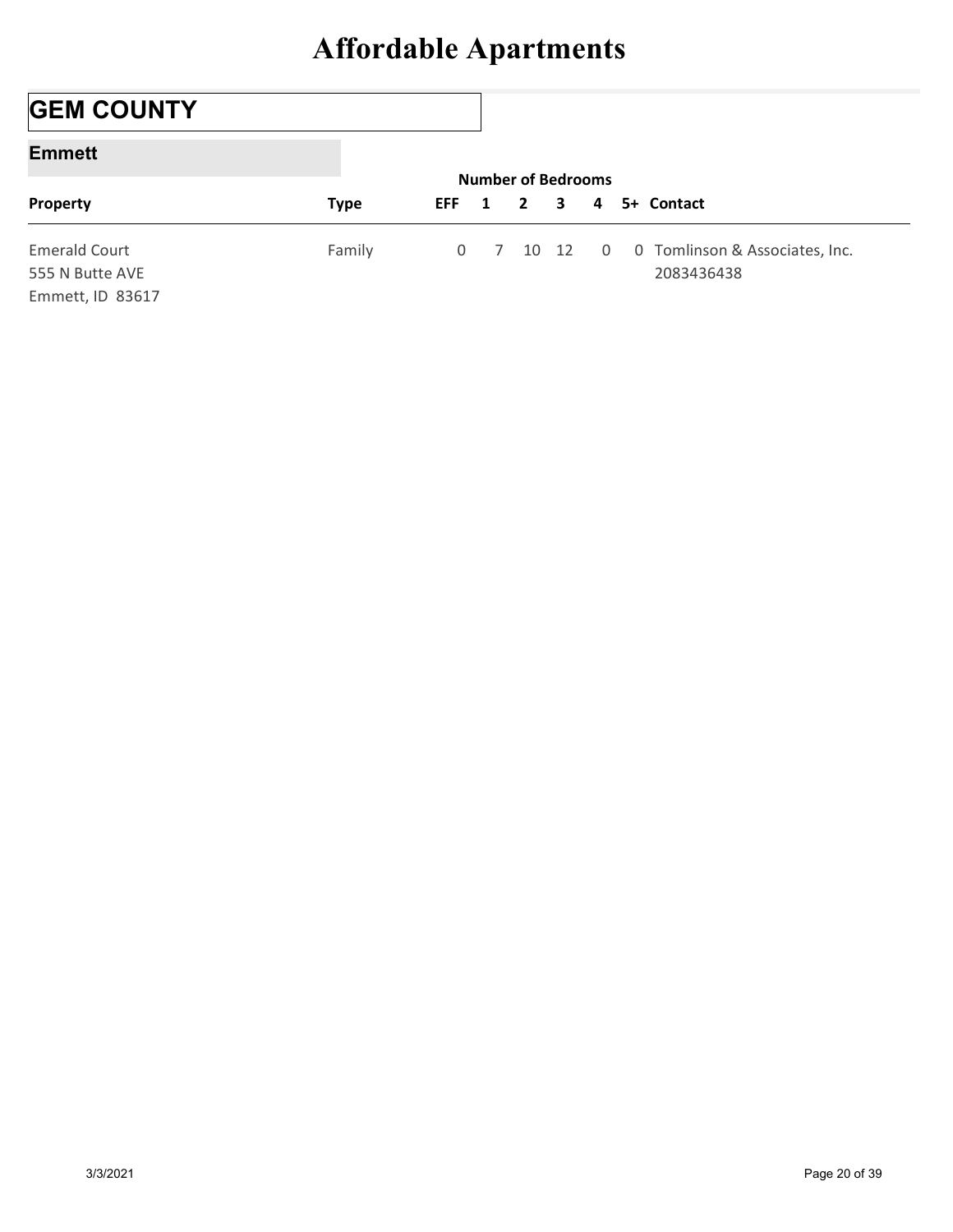## **GEM COUNTY**

#### Emmett

| <b>Affordable Apartments</b><br><b>Number of Bedrooms</b><br>5+ Contact |                      |             |             |   |                |   |             |            |
|-------------------------------------------------------------------------|----------------------|-------------|-------------|---|----------------|---|-------------|------------|
|                                                                         |                      |             |             |   |                |   |             |            |
|                                                                         | <b>GEM COUNTY</b>    |             |             |   |                |   |             |            |
|                                                                         | <b>Emmett</b>        |             |             |   |                |   |             |            |
|                                                                         | Property             | <b>Type</b> | <b>EFF</b>  | 1 | $\overline{2}$ | 3 | 4           |            |
|                                                                         | <b>Emerald Court</b> | Family      | $\mathbf 0$ |   |                |   | $\mathbf 0$ |            |
| Tomlinson & Associates, Inc.<br>$\overline{7}$<br>10 12<br>$\mathbf 0$  |                      |             |             |   |                |   |             | 2083436438 |
| 555 N Butte AVE                                                         |                      |             |             |   |                |   |             |            |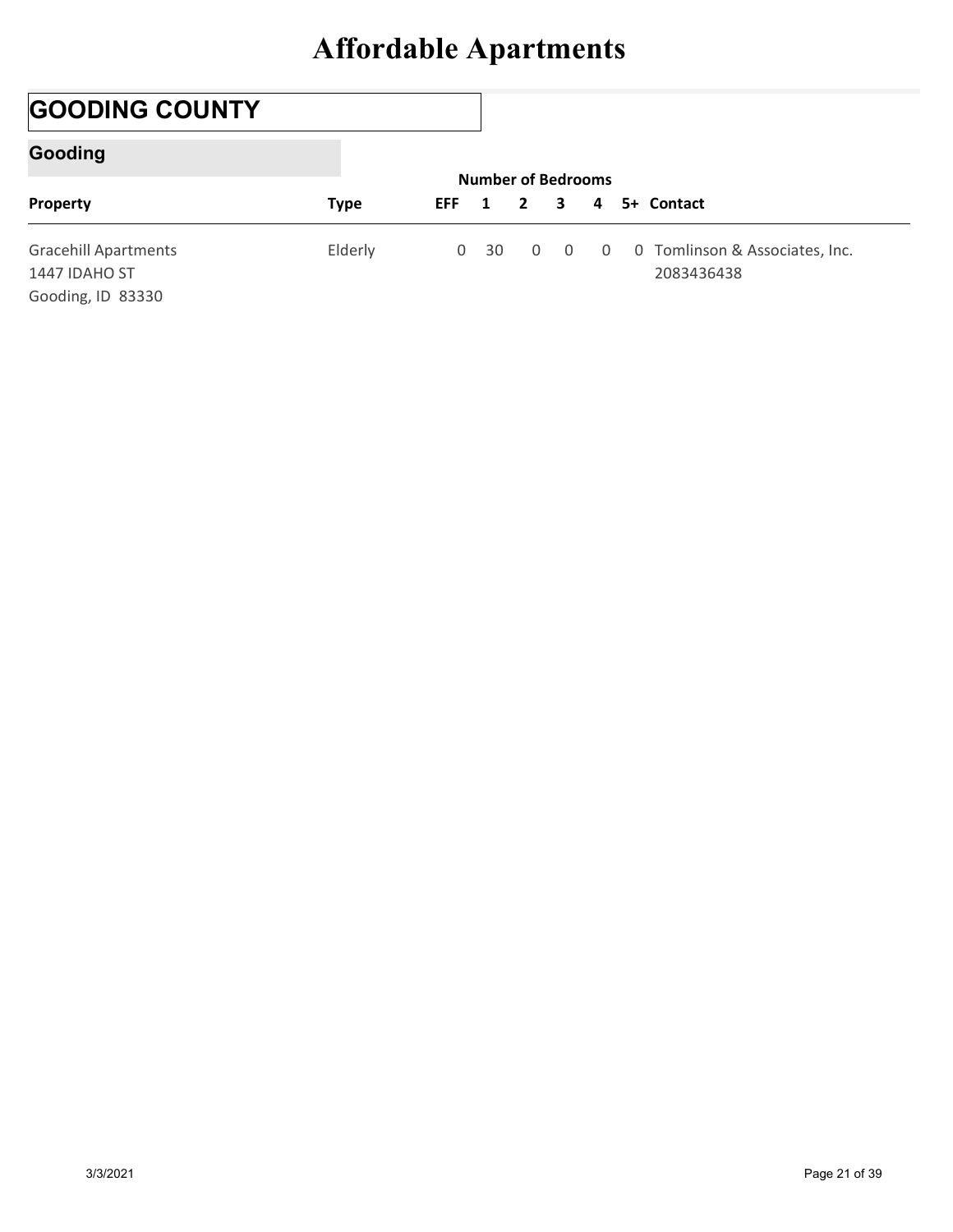## GOODING COUNTY

### Gooding

| <b>Affordable Apartments</b><br><b>GOODING COUNTY</b><br><b>Gooding</b><br><b>Number of Bedrooms</b><br>5+ Contact                                                       |          |             |            |   |              |   |   |  |
|--------------------------------------------------------------------------------------------------------------------------------------------------------------------------|----------|-------------|------------|---|--------------|---|---|--|
|                                                                                                                                                                          |          |             |            |   |              |   |   |  |
|                                                                                                                                                                          |          |             |            |   |              |   |   |  |
|                                                                                                                                                                          |          |             |            |   |              |   |   |  |
|                                                                                                                                                                          | Property | <b>Type</b> | <b>EFF</b> | 1 | $\mathbf{2}$ | 3 | 4 |  |
|                                                                                                                                                                          |          |             |            |   |              |   |   |  |
| <b>Gracehill Apartments</b><br>0 Tomlinson & Associates, Inc.<br>Elderly<br>0 <sup>30</sup><br>$\mathbf 0$<br>$\mathbf 0$<br>$\mathbf{0}$<br>1447 IDAHO ST<br>2083436438 |          |             |            |   |              |   |   |  |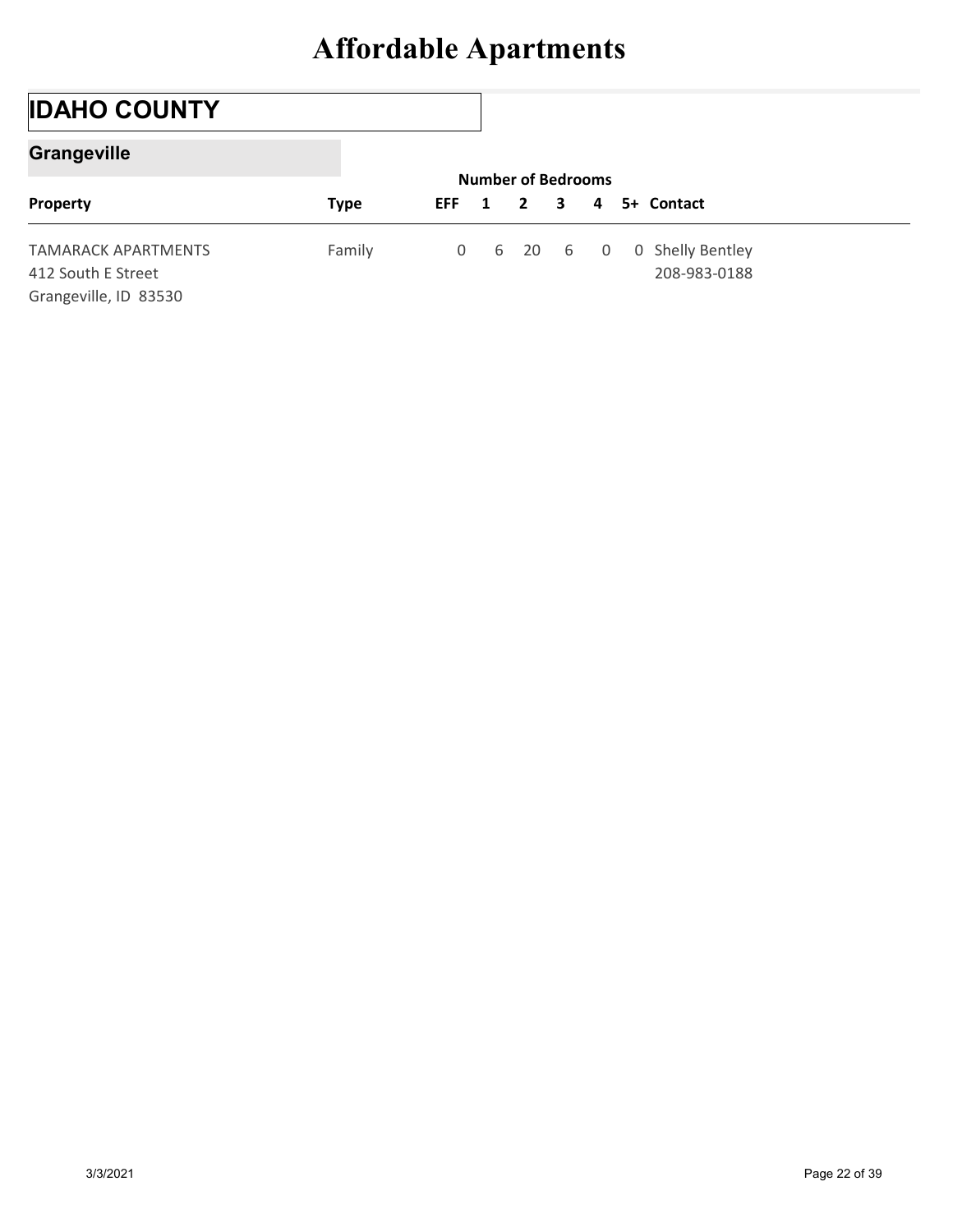## IDAHO COUNTY

### **Grangeville**

| <b>Affordable Apartments</b><br><b>IDAHO COUNTY</b><br><b>Grangeville</b><br><b>Number of Bedrooms</b> |                                                  |             |             |   |              |   |             |                                  |  |
|--------------------------------------------------------------------------------------------------------|--------------------------------------------------|-------------|-------------|---|--------------|---|-------------|----------------------------------|--|
|                                                                                                        |                                                  |             |             |   |              |   |             |                                  |  |
|                                                                                                        |                                                  |             |             |   |              |   |             |                                  |  |
|                                                                                                        |                                                  |             |             |   |              |   |             |                                  |  |
|                                                                                                        | Property                                         | <b>Type</b> | <b>EFF</b>  | 1 | $\mathbf{2}$ | 3 | 4           | 5+ Contact                       |  |
|                                                                                                        | <b>TAMARACK APARTMENTS</b><br>412 South E Street | Family      | $\mathbf 0$ | 6 | 20           | 6 | $\mathbf 0$ | 0 Shelly Bentley<br>208-983-0188 |  |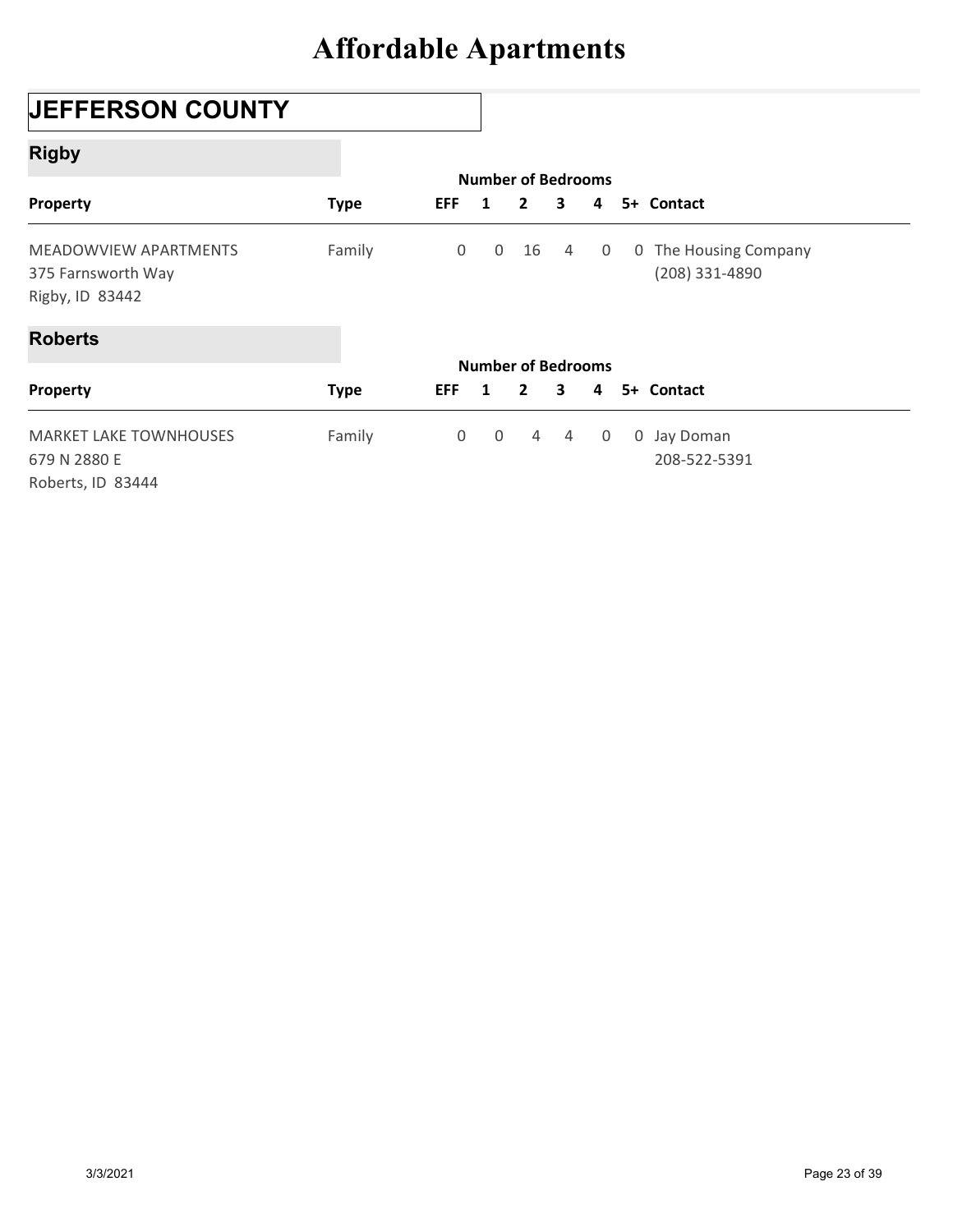## JEFFERSON COUNTY

### Rigby

| <b>JEFFERSON COUNTY</b>                                            |             |                     |                                |                |                |             |                                         |
|--------------------------------------------------------------------|-------------|---------------------|--------------------------------|----------------|----------------|-------------|-----------------------------------------|
| <b>Rigby</b>                                                       |             |                     |                                |                |                |             |                                         |
| Property                                                           | <b>Type</b> | <b>EFF</b>          | <b>Number of Bedrooms</b><br>1 | $\overline{2}$ | 3              | 4           | 5+ Contact                              |
| MEADOWVIEW APARTMENTS<br>375 Farnsworth Way<br>Rigby, ID 83442     | Family      | $\mathbf 0$         | $\mathsf 0$                    | 16             | $\overline{4}$ | $\mathbf 0$ | 0 The Housing Company<br>(208) 331-4890 |
| <b>Roberts</b>                                                     |             |                     |                                |                |                |             |                                         |
| Property                                                           | <b>Type</b> | <b>EFF</b>          | <b>Number of Bedrooms</b><br>1 | $\overline{2}$ | 3              | 4           | 5+ Contact                              |
| <b>MARKET LAKE TOWNHOUSES</b><br>679 N 2880 E<br>Roberts, ID 83444 | Family      | $\mathsf{O}\xspace$ | $\mathsf{O}$                   | $\overline{4}$ | $\overline{4}$ | 0           | 0 Jay Doman<br>208-522-5391             |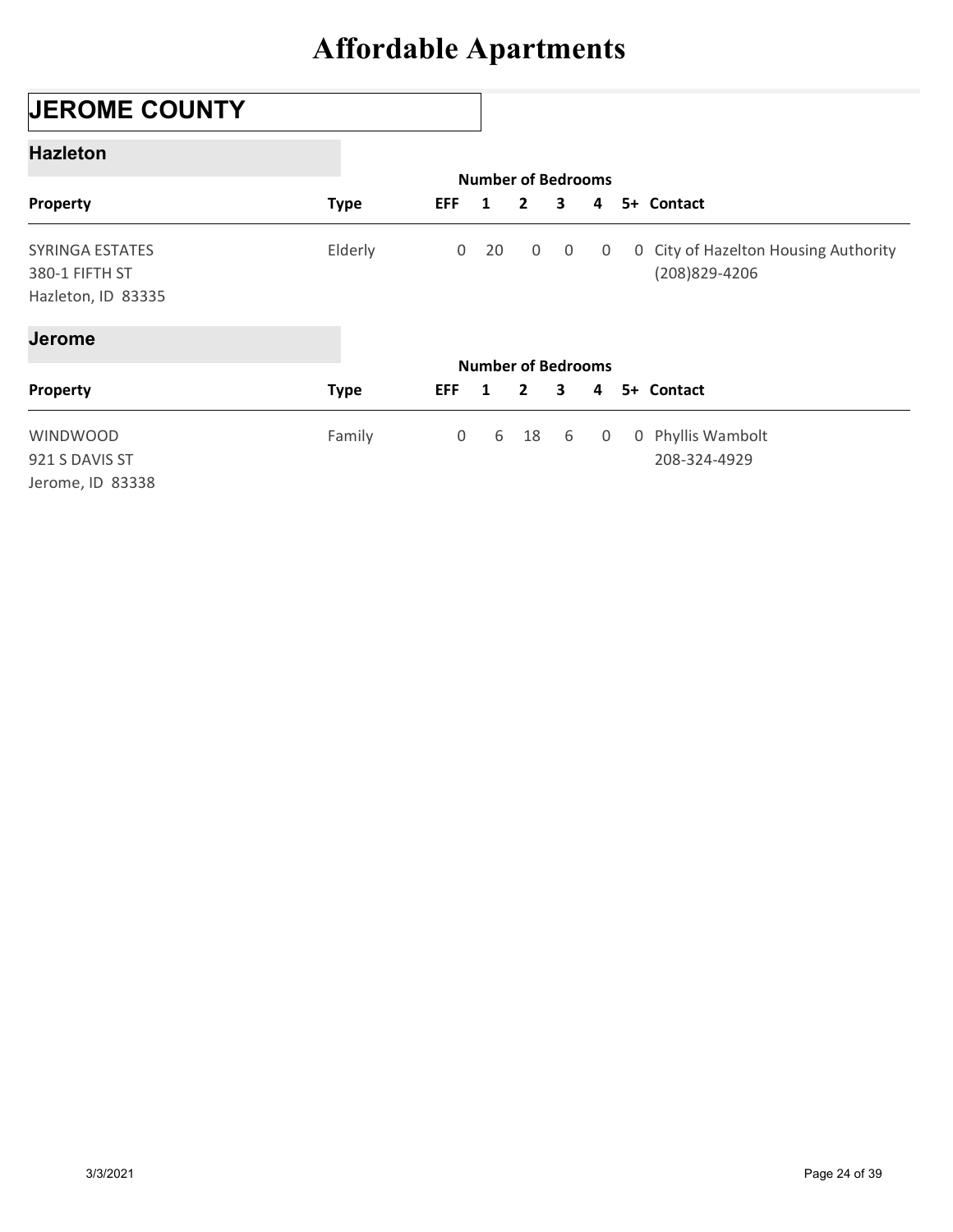## JEROME COUNTY

#### Hazleton

|                                      |             |                |                                           | <b>Affordable Apartments</b> |                |              |                                      |
|--------------------------------------|-------------|----------------|-------------------------------------------|------------------------------|----------------|--------------|--------------------------------------|
| <b>JEROME COUNTY</b>                 |             |                |                                           |                              |                |              |                                      |
| <b>Hazleton</b>                      |             |                |                                           |                              |                |              |                                      |
| Property                             | <b>Type</b> | <b>EFF</b>     | <b>Number of Bedrooms</b><br>1            | $\overline{2}$               | 3              | 4            | 5+ Contact                           |
| SYRINGA ESTATES                      | Elderly     | $\overline{0}$ | 20                                        | 0                            | $\overline{0}$ | $\mathbf{0}$ | 0 City of Hazelton Housing Authority |
| 380-1 FIFTH ST<br>Hazleton, ID 83335 |             |                |                                           |                              |                |              | (208)829-4206                        |
| <b>Jerome</b>                        |             |                |                                           |                              |                |              |                                      |
| Property                             | <b>Type</b> | <b>EFF</b>     | <b>Number of Bedrooms</b><br>$\mathbf{1}$ | $\overline{2}$               | 3              | 4            | 5+ Contact                           |
| WINDWOOD                             | Family      | $\mathbf 0$    | 6                                         | 18                           | 6              | 0            | 0 Phyllis Wambolt                    |
|                                      |             |                |                                           |                              |                |              | 208-324-4929                         |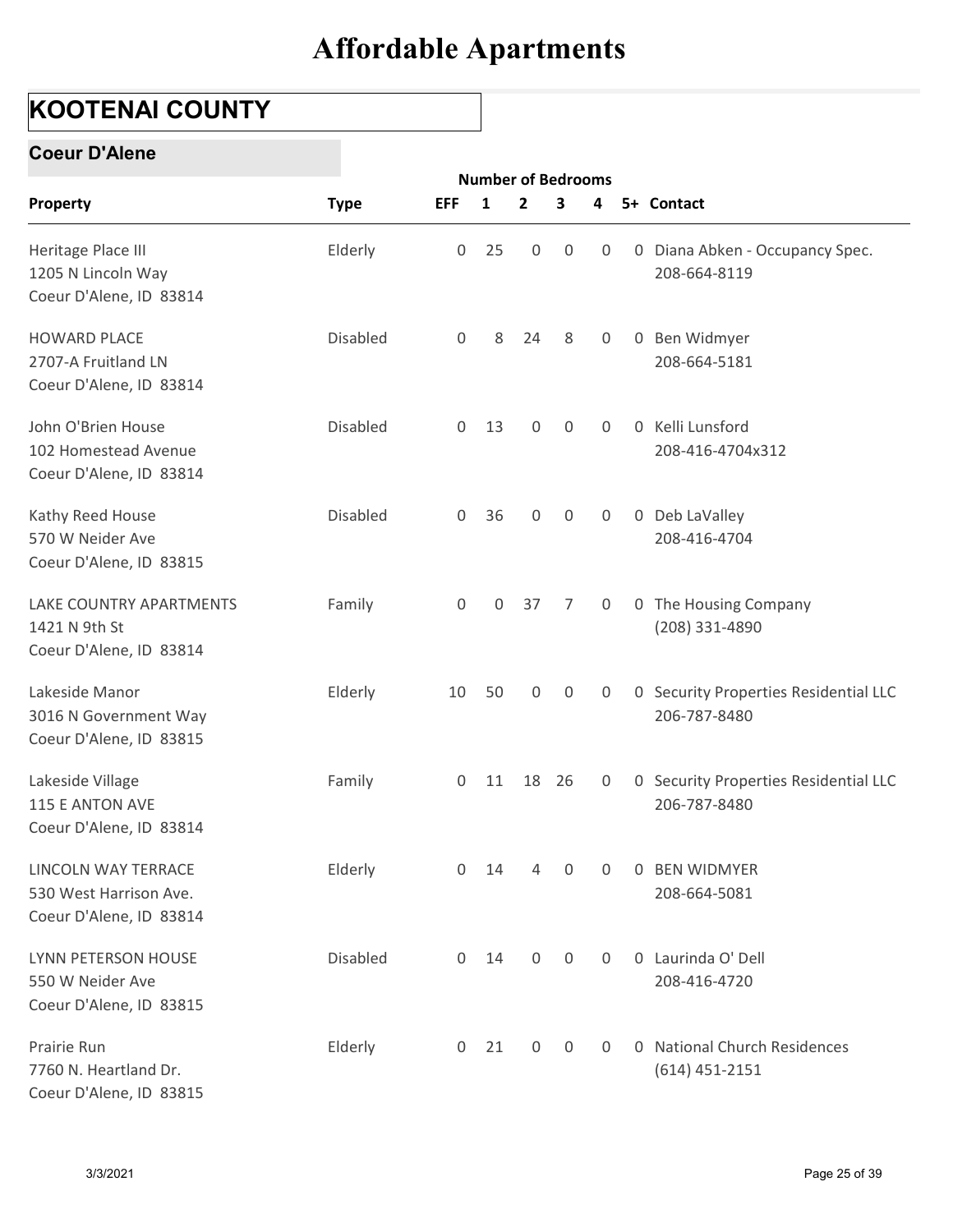## KOOTENAI COUNTY

#### Coeur D'Alene

| <b>KOOTENAI COUNTY</b>                                                   |                 |                |    |                                           |                  |                |                |                                                       |
|--------------------------------------------------------------------------|-----------------|----------------|----|-------------------------------------------|------------------|----------------|----------------|-------------------------------------------------------|
| <b>Coeur D'Alene</b>                                                     |                 |                |    |                                           |                  |                |                |                                                       |
| Property                                                                 | <b>Type</b>     | <b>EFF</b>     | 1  | <b>Number of Bedrooms</b><br>$\mathbf{2}$ | 3                | 4              |                | 5+ Contact                                            |
| Heritage Place III<br>1205 N Lincoln Way<br>Coeur D'Alene, ID 83814      | Elderly         | $\overline{0}$ | 25 | 0                                         | 0                | 0              |                | 0 Diana Abken - Occupancy Spec.<br>208-664-8119       |
| <b>HOWARD PLACE</b><br>2707-A Fruitland LN<br>Coeur D'Alene, ID 83814    | <b>Disabled</b> | 0              | 8  | 24                                        | 8                | $\overline{0}$ |                | 0 Ben Widmyer<br>208-664-5181                         |
| John O'Brien House<br>102 Homestead Avenue<br>Coeur D'Alene, ID 83814    | <b>Disabled</b> | $\overline{0}$ | 13 | $\mathbf{0}$                              | $\mathbf 0$      | $\Omega$       | $\overline{0}$ | Kelli Lunsford<br>208-416-4704x312                    |
| Kathy Reed House<br>570 W Neider Ave<br>Coeur D'Alene, ID 83815          | <b>Disabled</b> | $\overline{0}$ | 36 | $\mathbf 0$                               | 0                | 0              |                | 0 Deb LaValley<br>208-416-4704                        |
| LAKE COUNTRY APARTMENTS<br>1421 N 9th St<br>Coeur D'Alene, ID 83814      | Family          | $\overline{0}$ | 0  | 37                                        | 7                | 0              |                | 0 The Housing Company<br>(208) 331-4890               |
| Lakeside Manor<br>3016 N Government Way<br>Coeur D'Alene, ID 83815       | Elderly         | 10             | 50 | 0                                         | $\overline{0}$   | 0              |                | 0 Security Properties Residential LLC<br>206-787-8480 |
| Lakeside Village<br>115 E ANTON AVE<br>Coeur D'Alene, ID 83814           | Family          | $\overline{0}$ |    | 11 18 26                                  |                  | 0              |                | 0 Security Properties Residential LLC<br>206-787-8480 |
| LINCOLN WAY TERRACE<br>530 West Harrison Ave.<br>Coeur D'Alene, ID 83814 | Elderly         | $\overline{0}$ | 14 | 4                                         | $\boldsymbol{0}$ | $\overline{0}$ |                | 0 BEN WIDMYER<br>208-664-5081                         |
| LYNN PETERSON HOUSE<br>550 W Neider Ave<br>Coeur D'Alene, ID 83815       | Disabled        | $\overline{0}$ | 14 | $\mathbf 0$                               | $\mathbf 0$      | 0              |                | 0 Laurinda O' Dell<br>208-416-4720                    |
| Prairie Run<br>7760 N. Heartland Dr.<br>Coeur D'Alene, ID 83815          | Elderly         | $\overline{0}$ | 21 | $\mathsf{O}$                              | $\mathbf 0$      | $\overline{0}$ |                | 0 National Church Residences<br>$(614)$ 451-2151      |
| 3/3/2021                                                                 |                 |                |    |                                           |                  |                |                | Page 25 of 39                                         |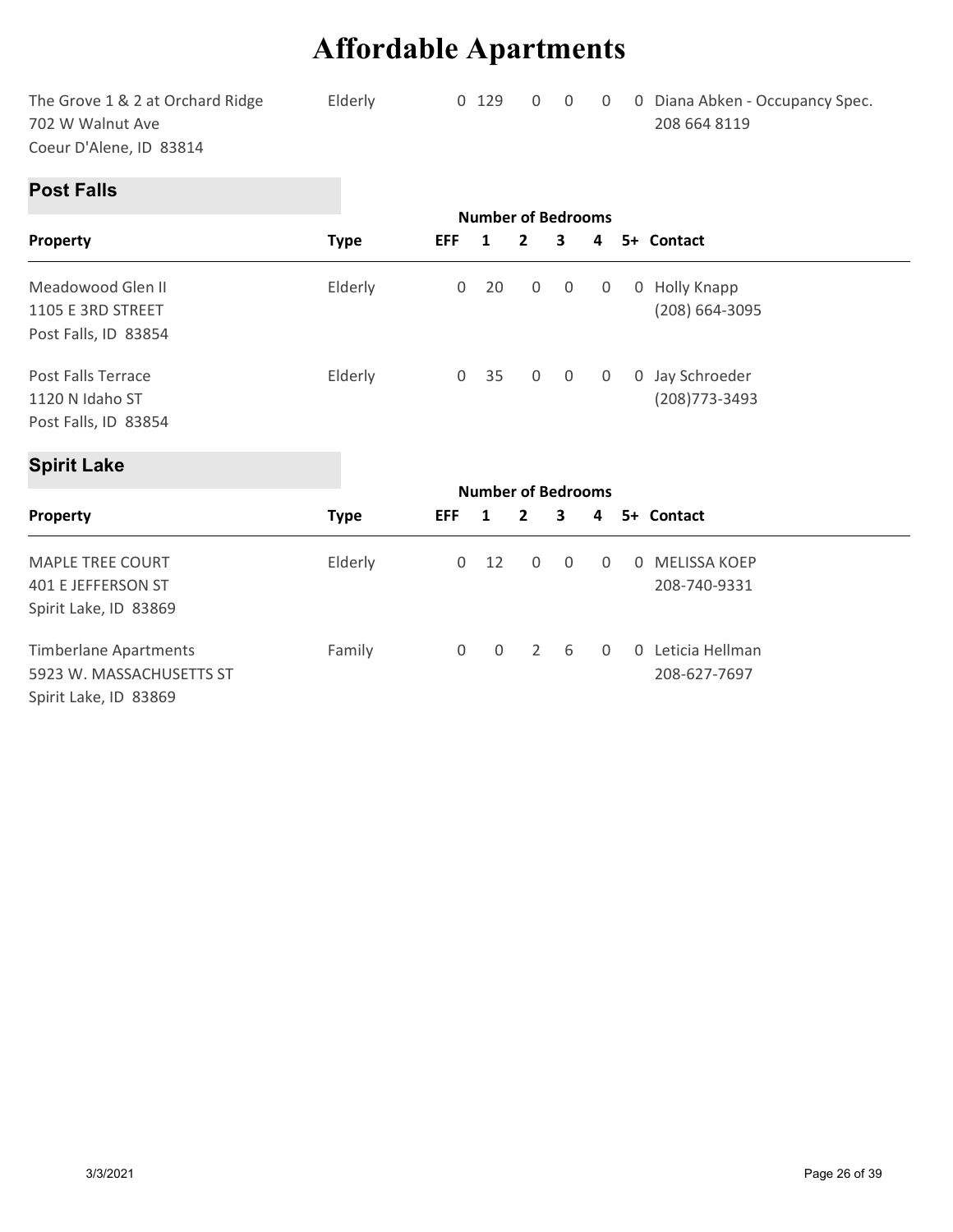|                                  |         | <b>Affordable Apartments</b> |         |                |                |                |                                 |  |
|----------------------------------|---------|------------------------------|---------|----------------|----------------|----------------|---------------------------------|--|
| The Grove 1 & 2 at Orchard Ridge | Elderly |                              | $0$ 129 | $\overline{0}$ | $\overline{0}$ | $\overline{0}$ | 0 Diana Abken - Occupancy Spec. |  |
| 702 W Walnut Ave                 |         |                              |         |                |                |                | 208 664 8119                    |  |
| Coeur D'Alene, ID 83814          |         |                              |         |                |                |                |                                 |  |
| <b>Post Falls</b>                |         |                              |         |                |                |                |                                 |  |
|                                  |         |                              |         |                |                |                |                                 |  |

#### Post Falls

|                                                                                 | <b>Affordable Apartments</b> |                     |                                           |                  |             |             |                                                 |
|---------------------------------------------------------------------------------|------------------------------|---------------------|-------------------------------------------|------------------|-------------|-------------|-------------------------------------------------|
| The Grove 1 & 2 at Orchard Ridge<br>702 W Walnut Ave<br>Coeur D'Alene, ID 83814 | Elderly                      |                     | 0 129                                     | 0                | 0           | 0           | 0 Diana Abken - Occupancy Spec.<br>208 664 8119 |
| <b>Post Falls</b>                                                               |                              |                     |                                           |                  |             |             |                                                 |
|                                                                                 |                              | <b>EFF</b>          | <b>Number of Bedrooms</b><br>$\mathbf{1}$ | $\mathbf{2}$     | 3           | 4           | 5+ Contact                                      |
| Property                                                                        | <b>Type</b>                  |                     |                                           |                  |             |             |                                                 |
| Meadowood Glen II                                                               | Elderly                      | $\boldsymbol{0}$    | 20                                        | 0                | $\mathbf 0$ | 0           | 0 Holly Knapp                                   |
| 1105 E 3RD STREET                                                               |                              |                     |                                           |                  |             |             | (208) 664-3095                                  |
| Post Falls, ID 83854                                                            |                              |                     |                                           |                  |             |             |                                                 |
| Post Falls Terrace                                                              | Elderly                      | $\mathbf 0$         | 35                                        | $\boldsymbol{0}$ | $\mathsf 0$ | $\mathbf 0$ | 0 Jay Schroeder                                 |
| 1120 N Idaho ST                                                                 |                              |                     |                                           |                  |             |             | (208) 773-3493                                  |
| Post Falls, ID 83854                                                            |                              |                     |                                           |                  |             |             |                                                 |
| <b>Spirit Lake</b>                                                              |                              |                     |                                           |                  |             |             |                                                 |
|                                                                                 |                              |                     | <b>Number of Bedrooms</b>                 |                  |             |             |                                                 |
| Property                                                                        | <b>Type</b>                  | <b>EFF</b>          | $\mathbf{1}$                              | $\mathbf{2}$     | 3           | 4           | 5+ Contact                                      |
| MAPLE TREE COURT                                                                | Elderly                      | 0                   | 12                                        | 0                | $\mathbf 0$ | 0           | 0 MELISSA KOEP                                  |
| <b>401 E JEFFERSON ST</b>                                                       |                              |                     |                                           |                  |             |             | 208-740-9331                                    |
| Spirit Lake, ID 83869                                                           |                              |                     |                                           |                  |             |             |                                                 |
| <b>Timberlane Apartments</b>                                                    | Family                       | $\mathsf{O}\xspace$ | 0                                         | $\overline{2}$   | 6           | 0           | 0 Leticia Hellman                               |
| 5923 W. MASSACHUSETTS ST                                                        |                              |                     |                                           |                  |             |             | 208-627-7697                                    |

### Spirit Lake

| Meadowood Glen II<br>1105 E 3RD STREET                          | Elderly     | $\overline{0}$      | 20                        | $\mathbf 0$    | $\overline{0}$ | $\overline{0}$ |                | 0 Holly Knapp<br>(208) 664-3095   |
|-----------------------------------------------------------------|-------------|---------------------|---------------------------|----------------|----------------|----------------|----------------|-----------------------------------|
| Post Falls, ID 83854                                            |             |                     |                           |                |                |                |                |                                   |
| Post Falls Terrace<br>1120 N Idaho ST<br>Post Falls, ID 83854   | Elderly     | $\overline{0}$      | 35                        | $\overline{0}$ | $\overline{0}$ | $\overline{0}$ |                | 0 Jay Schroeder<br>(208) 773-3493 |
| <b>Spirit Lake</b>                                              |             |                     |                           |                |                |                |                |                                   |
|                                                                 |             |                     | <b>Number of Bedrooms</b> |                |                |                |                |                                   |
| Property                                                        | <b>Type</b> | <b>EFF</b>          | 1                         | $\mathbf{2}$   | 3              | 4              |                | 5+ Contact                        |
| MAPLE TREE COURT<br>401 E JEFFERSON ST<br>Spirit Lake, ID 83869 | Elderly     | $\mathbf 0$         | 12                        | $\mathbf 0$    | 0              | 0              | 0              | MELISSA KOEP<br>208-740-9331      |
| <b>Timberlane Apartments</b><br>5923 W. MASSACHUSETTS ST        | Family      | $\mathsf{O}\xspace$ | $\mathbf 0$               | $\overline{2}$ | 6              | 0              | $\overline{0}$ | Leticia Hellman<br>208-627-7697   |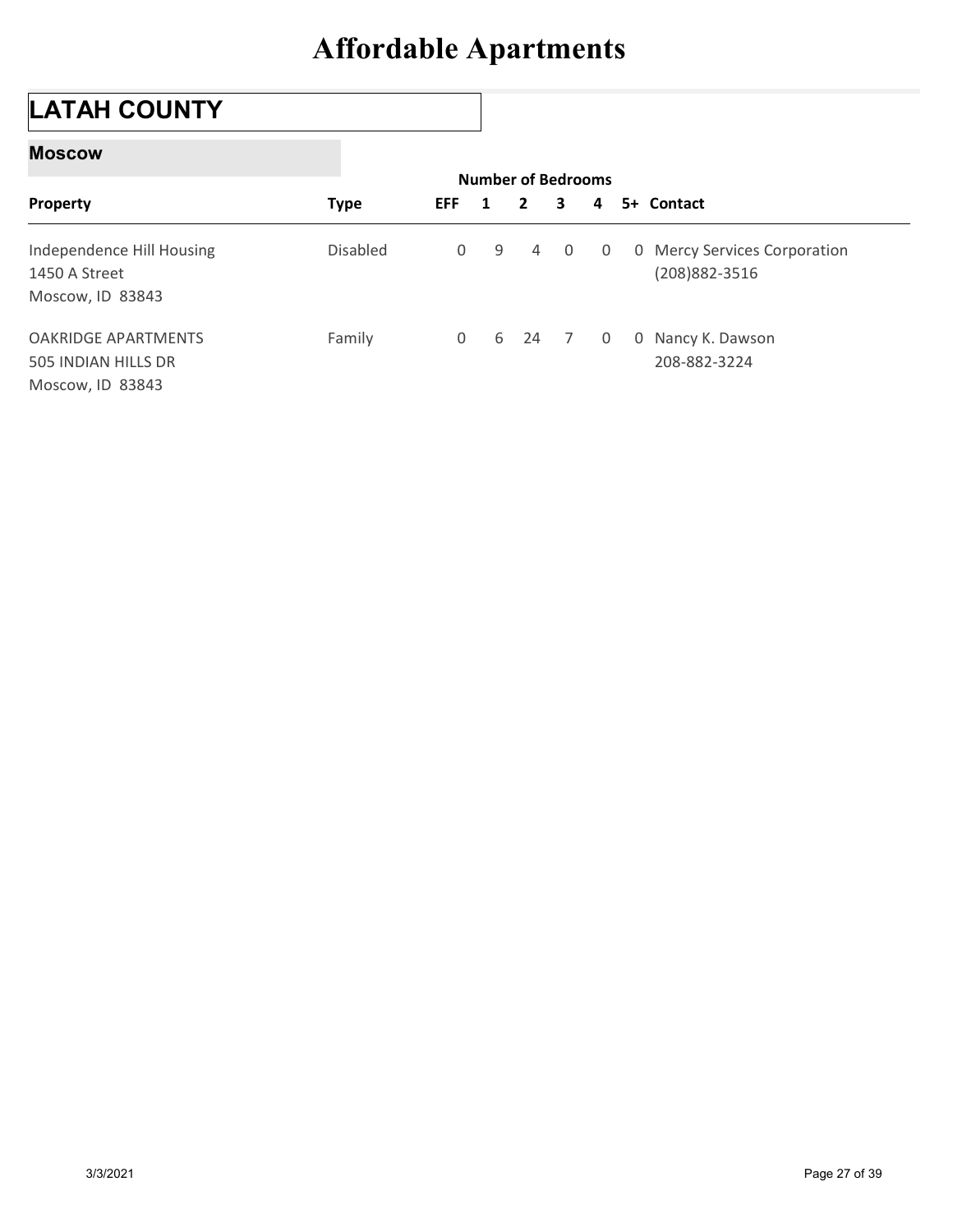## LATAH COUNTY

#### Moscow

| <b>Moscow</b>                                                  |             |              |             |                                           |                |             |                                                |
|----------------------------------------------------------------|-------------|--------------|-------------|-------------------------------------------|----------------|-------------|------------------------------------------------|
| Property                                                       | <b>Type</b> | <b>EFF</b>   | 1           | <b>Number of Bedrooms</b><br>$\mathbf{2}$ | 3              | 4           | 5+ Contact                                     |
| Independence Hill Housing<br>1450 A Street<br>Moscow, ID 83843 | Disabled    | $\mathsf{O}$ | $\mathsf 9$ | 4                                         | $\mathbf 0$    | 0           | 0 Mercy Services Corporation<br>(208) 882-3516 |
|                                                                |             |              |             |                                           | $\overline{7}$ | $\mathbf 0$ | 0 Nancy K. Dawson                              |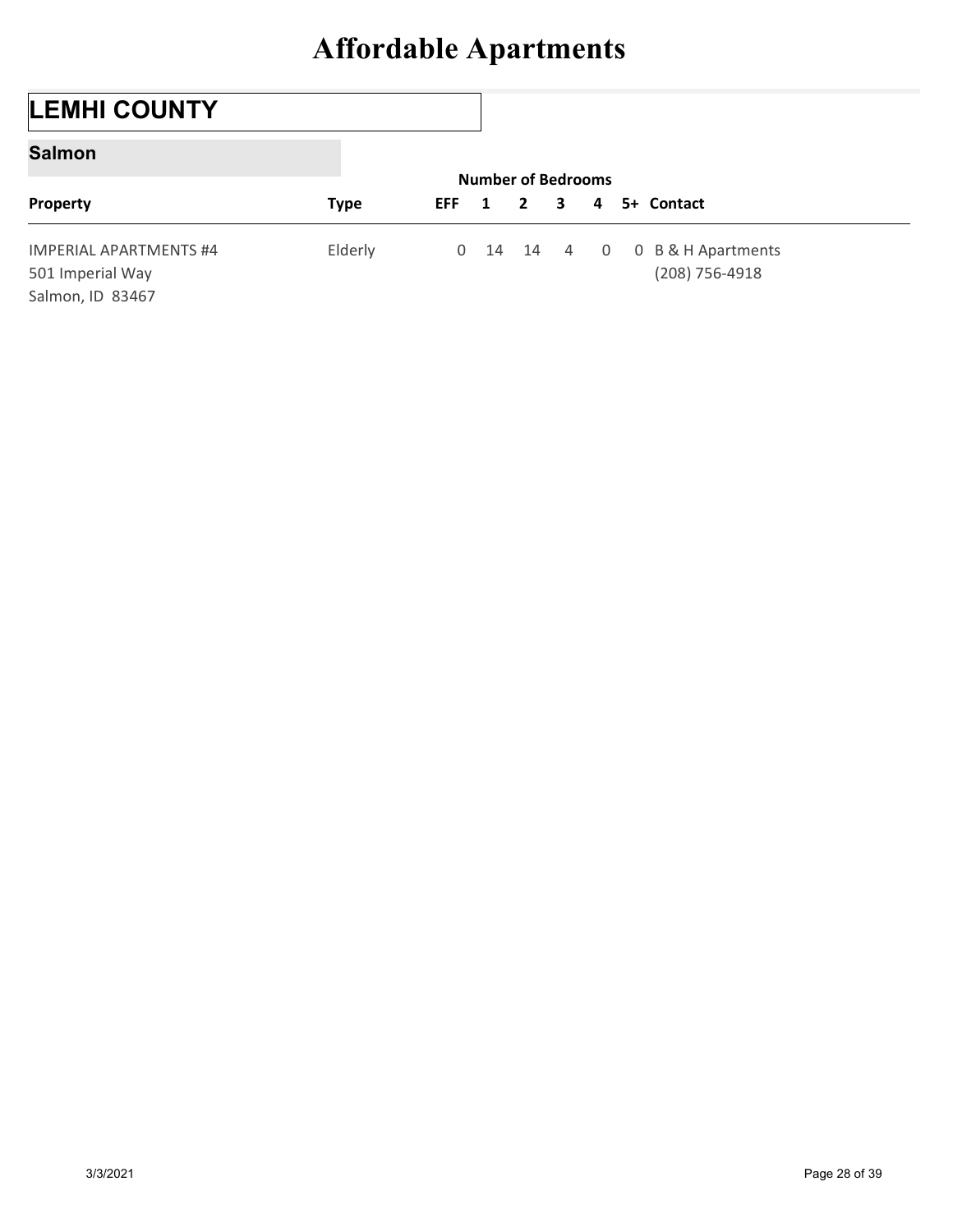## LEMHI COUNTY

#### Salmon

|                                                                       | <b>Affordable Apartments</b> |            |                                |              |   |                |                                          |
|-----------------------------------------------------------------------|------------------------------|------------|--------------------------------|--------------|---|----------------|------------------------------------------|
|                                                                       |                              |            |                                |              |   |                |                                          |
| <b>LEMHI COUNTY</b>                                                   |                              |            |                                |              |   |                |                                          |
| <b>Salmon</b>                                                         |                              |            |                                |              |   |                |                                          |
| Property                                                              | <b>Type</b>                  | <b>EFF</b> | <b>Number of Bedrooms</b><br>1 | $\mathbf{2}$ | 3 | 4              | 5+ Contact                               |
| <b>IMPERIAL APARTMENTS #4</b><br>501 Imperial Way<br>Salmon, ID 83467 | Elderly                      |            | 0 14 14 4                      |              |   | $\overline{0}$ | 0 B & H Apartments<br>$(208) 756 - 4918$ |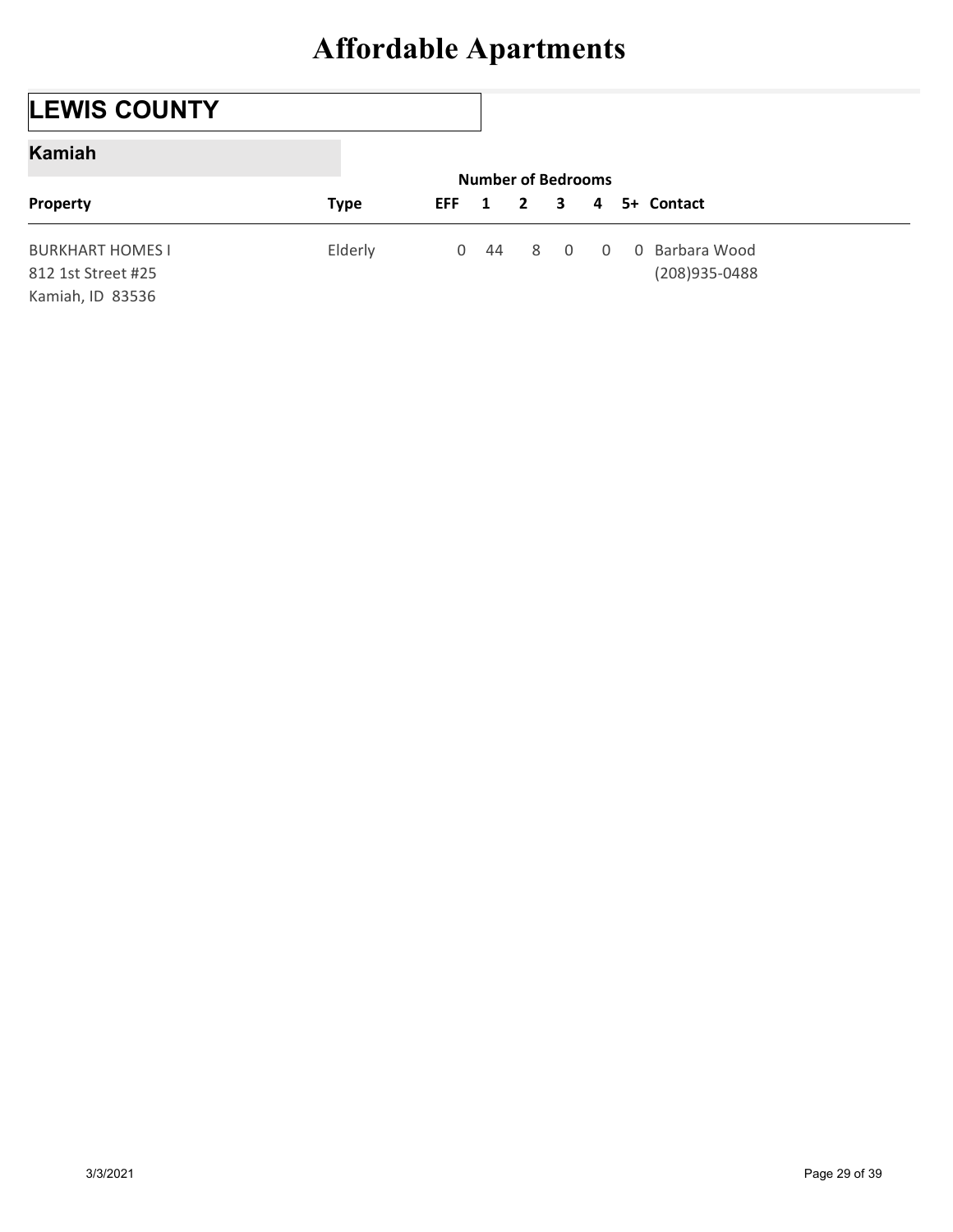## LEWIS COUNTY

#### Kamiah

|                                                                   | <b>Affordable Apartments</b> |                |    |                                           |                |             |                                  |
|-------------------------------------------------------------------|------------------------------|----------------|----|-------------------------------------------|----------------|-------------|----------------------------------|
|                                                                   |                              |                |    |                                           |                |             |                                  |
| <b>LEWIS COUNTY</b>                                               |                              |                |    |                                           |                |             |                                  |
| <b>Kamiah</b>                                                     |                              |                |    |                                           |                |             |                                  |
| Property                                                          | <b>Type</b>                  | <b>EFF</b>     | 1  | <b>Number of Bedrooms</b><br>$\mathbf{2}$ | 3              | 4           | 5+ Contact                       |
| <b>BURKHART HOMES I</b><br>812 1st Street #25<br>Kamiah, ID 83536 | Elderly                      | $\overline{0}$ | 44 | 8                                         | $\overline{0}$ | $\mathbf 0$ | 0 Barbara Wood<br>(208) 935-0488 |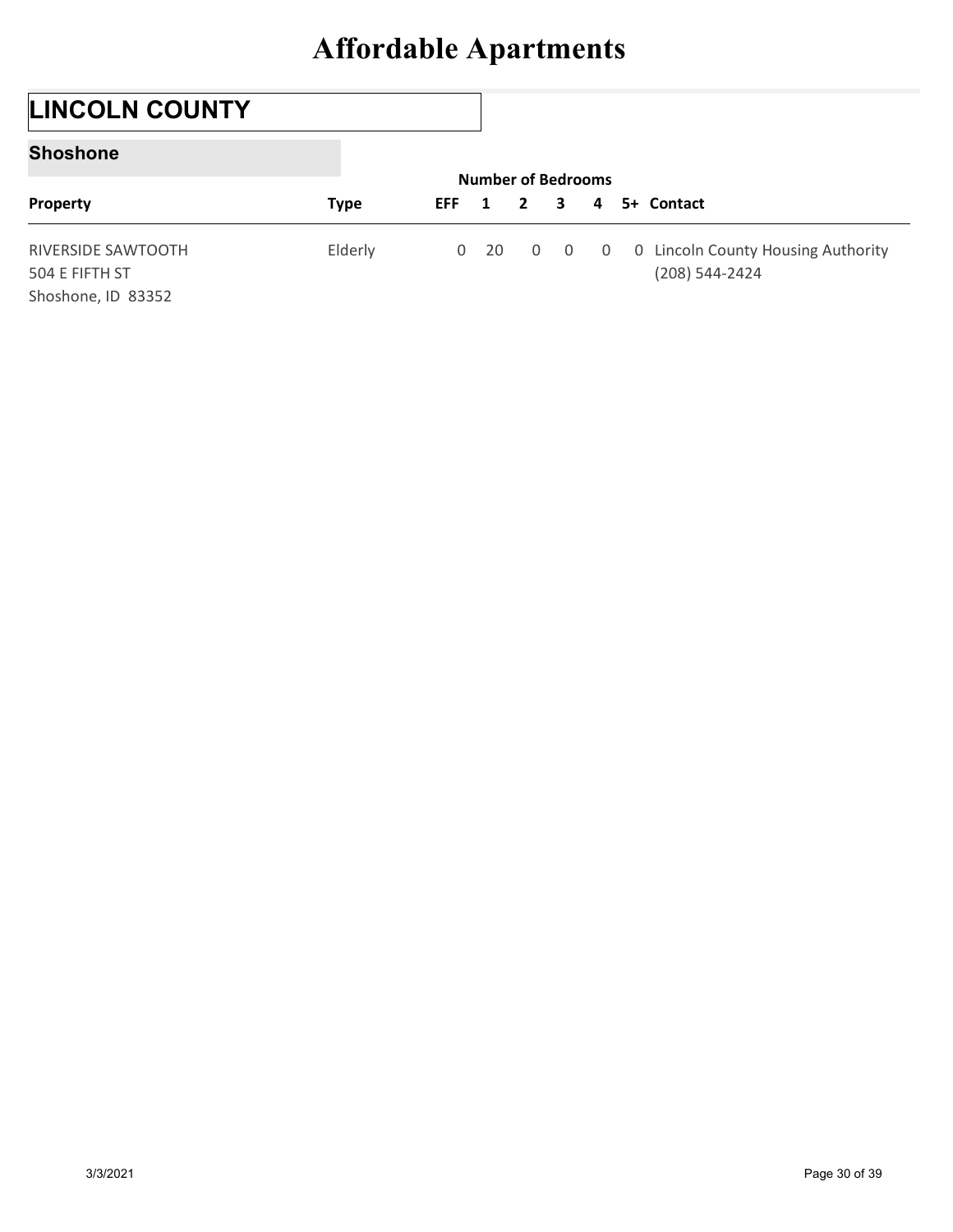## LINCOLN COUNTY

#### Shoshone

| <b>Affordable Apartments</b><br><b>LINCOLN COUNTY</b><br><b>Shoshone</b><br><b>Number of Bedrooms</b> |                    |             |             |    |             |                |                |             |                                                    |
|-------------------------------------------------------------------------------------------------------|--------------------|-------------|-------------|----|-------------|----------------|----------------|-------------|----------------------------------------------------|
|                                                                                                       |                    |             |             |    |             |                |                |             |                                                    |
|                                                                                                       |                    |             |             |    |             |                |                |             |                                                    |
|                                                                                                       |                    |             |             |    |             |                |                |             |                                                    |
| $\mathbf{2}$<br>5+ Contact<br>1<br>3<br>4                                                             | Property           | <b>Type</b> | <b>EFF</b>  |    |             |                |                |             |                                                    |
|                                                                                                       | RIVERSIDE SAWTOOTH | Elderly     | $\mathbf 0$ | 20 | $\mathbf 0$ | $\overline{0}$ | $\overline{0}$ | $\mathbf 0$ | Lincoln County Housing Authority<br>(208) 544-2424 |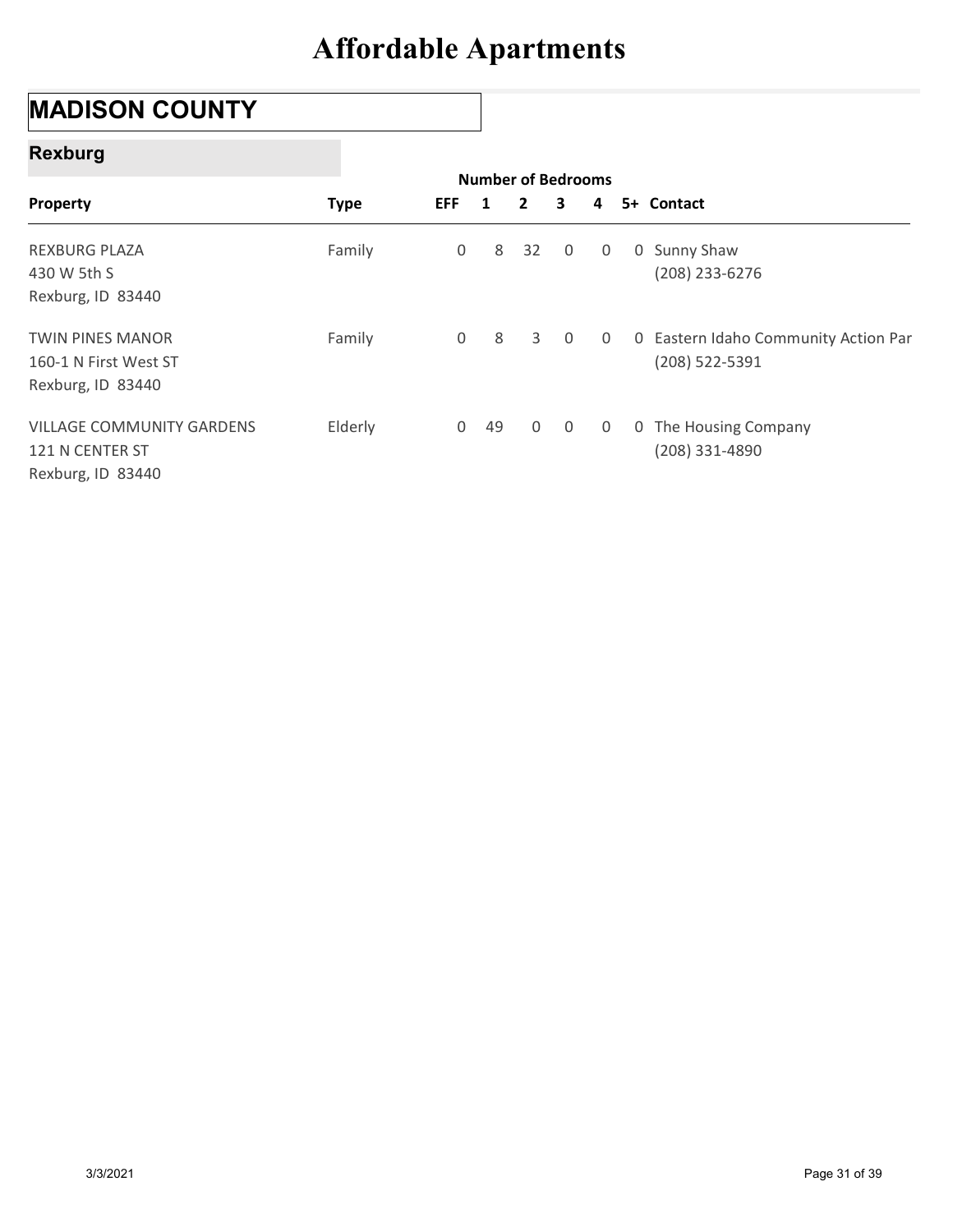## MADISON COUNTY

#### Rexburg

| <b>MADISON COUNTY</b>                                                    |             |             |                         |                                           |                |                |                                                        |
|--------------------------------------------------------------------------|-------------|-------------|-------------------------|-------------------------------------------|----------------|----------------|--------------------------------------------------------|
| <b>Rexburg</b>                                                           |             |             |                         |                                           |                |                |                                                        |
| Property                                                                 | <b>Type</b> | <b>EFF</b>  | $\overline{\mathbf{1}}$ | <b>Number of Bedrooms</b><br>$\mathbf{2}$ | 3              | 4              | 5+ Contact                                             |
| <b>REXBURG PLAZA</b><br>430 W 5th S<br>Rexburg, ID 83440                 | Family      | $\mathbf 0$ | 8                       | 32                                        | 0              | 0              | 0 Sunny Shaw<br>(208) 233-6276                         |
| <b>TWIN PINES MANOR</b><br>160-1 N First West ST<br>Rexburg, ID 83440    | Family      | $\mathbf 0$ | 8                       | 3                                         | $\overline{0}$ | 0              | 0 Eastern Idaho Community Action Par<br>(208) 522-5391 |
| <b>VILLAGE COMMUNITY GARDENS</b><br>121 N CENTER ST<br>Rexburg, ID 83440 | Elderly     |             | $0$ 49                  | $\mathsf{O}\xspace$                       | $\overline{0}$ | $\overline{0}$ | 0 The Housing Company<br>(208) 331-4890                |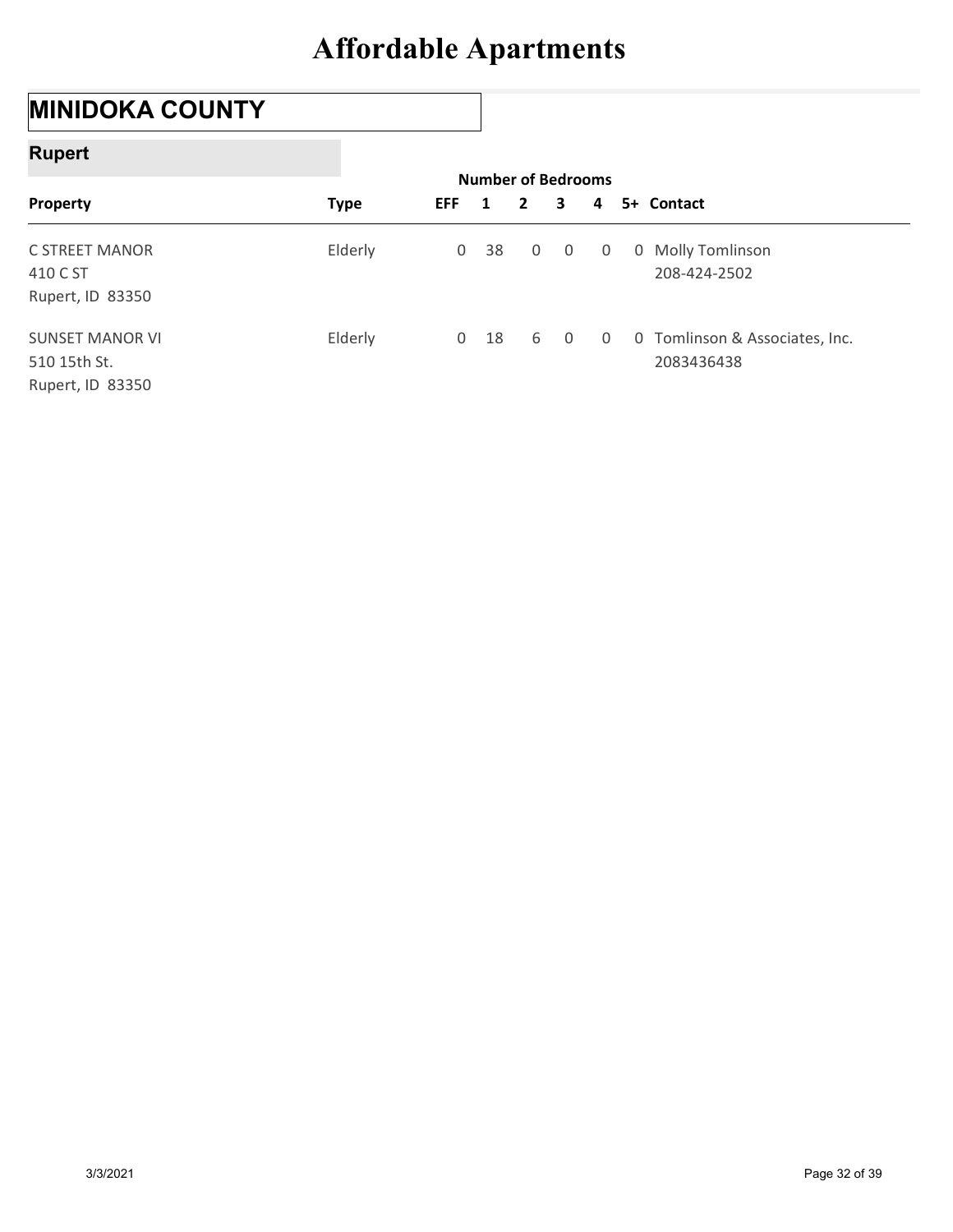## MINIDOKA COUNTY

### Rupert

| <b>MINIDOKA COUNTY</b>           |             |              |   |        |              |                                |              |                                |
|----------------------------------|-------------|--------------|---|--------|--------------|--------------------------------|--------------|--------------------------------|
| <b>Rupert</b>                    |             |              |   |        |              |                                |              |                                |
| Property                         | <b>Type</b> | <b>EFF</b>   | 1 |        | $\mathbf{2}$ | <b>Number of Bedrooms</b><br>3 | 4            | 5+ Contact                     |
|                                  |             |              |   |        |              |                                |              |                                |
|                                  | Elderly     | $\mathsf{O}$ |   | 38     | 0            | 0                              | $\mathbf 0$  | 0 Molly Tomlinson              |
|                                  |             |              |   |        |              |                                |              |                                |
| C STREET MANOR<br>410 C ST       |             |              |   |        |              |                                |              | 208-424-2502                   |
| Rupert, ID 83350                 |             |              |   |        |              |                                |              |                                |
| <b>SUNSET MANOR VI</b>           | Elderly     |              |   | $0$ 18 | 6            | $\overline{0}$                 | $\mathsf{O}$ | 0 Tomlinson & Associates, Inc. |
| 510 15th St.<br>Rupert, ID 83350 |             |              |   |        |              |                                |              | 2083436438                     |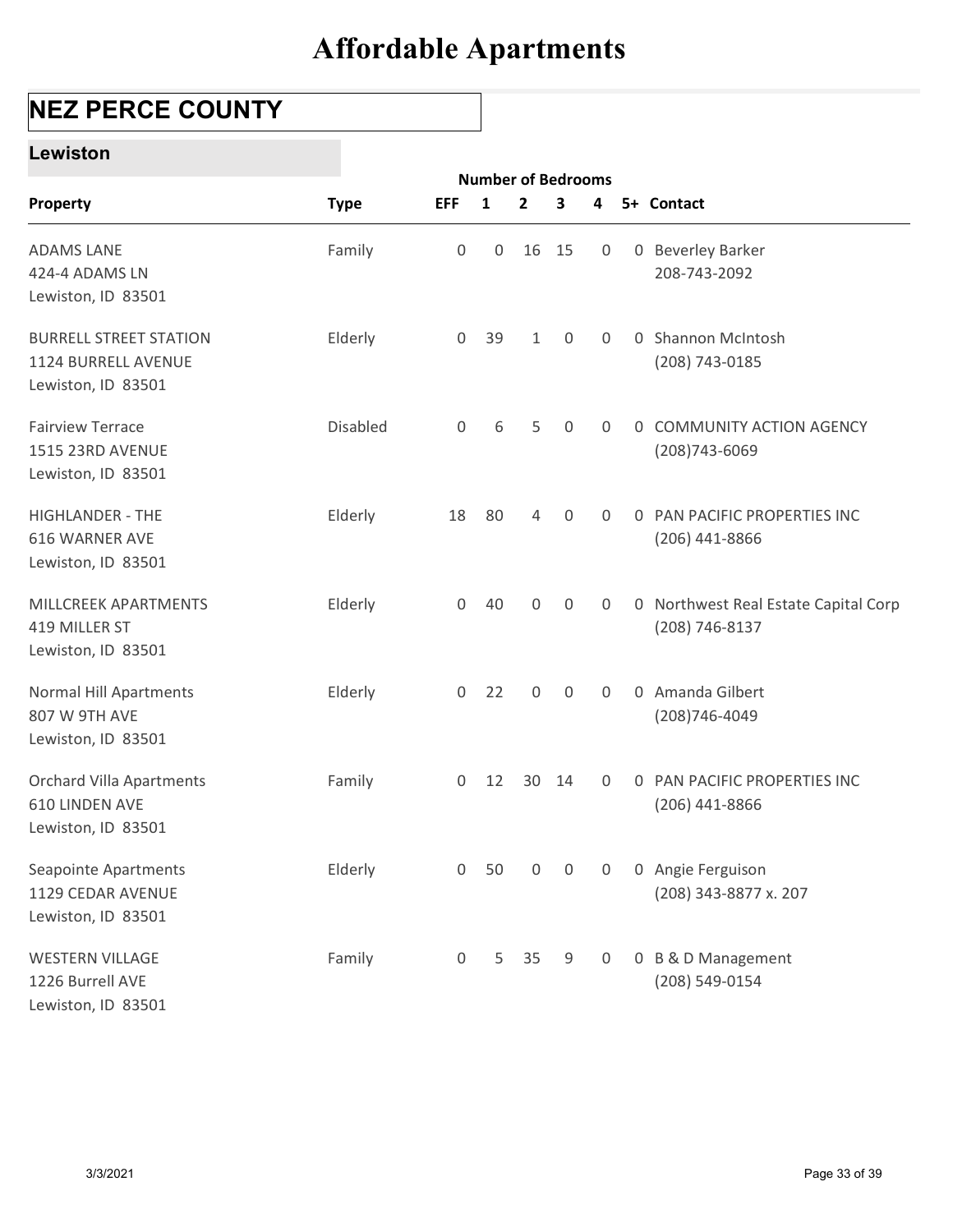## NEZ PERCE COUNTY

#### Lewiston

| <b>NEZ PERCE COUNTY</b>                                                    |             |                     |              |                  |                           |                  | <b>Affordable Apartments</b> |                                                        |
|----------------------------------------------------------------------------|-------------|---------------------|--------------|------------------|---------------------------|------------------|------------------------------|--------------------------------------------------------|
| <b>Lewiston</b>                                                            |             |                     |              |                  |                           |                  |                              |                                                        |
|                                                                            |             |                     |              |                  | <b>Number of Bedrooms</b> |                  |                              |                                                        |
| Property                                                                   | <b>Type</b> | <b>EFF</b>          | $\mathbf{1}$ | $\mathbf{2}$     | 3                         | 4                |                              | 5+ Contact                                             |
| <b>ADAMS LANE</b><br>424-4 ADAMS LN<br>Lewiston, ID 83501                  | Family      | $\boldsymbol{0}$    | 0            |                  | 16 15                     | $\mathbf 0$      |                              | 0 Beverley Barker<br>208-743-2092                      |
| <b>BURRELL STREET STATION</b><br>1124 BURRELL AVENUE<br>Lewiston, ID 83501 | Elderly     | $\mathbf 0$         | 39           | $\mathbf{1}$     | $\overline{0}$            | 0                |                              | 0 Shannon McIntosh<br>(208) 743-0185                   |
| <b>Fairview Terrace</b><br>1515 23RD AVENUE<br>Lewiston, ID 83501          | Disabled    | $\mathsf{O}\xspace$ | 6            | 5                | $\mathbf 0$               | 0                | $\mathbf{0}$                 | <b>COMMUNITY ACTION AGENCY</b><br>$(208)743 - 6069$    |
| <b>HIGHLANDER - THE</b><br>616 WARNER AVE<br>Lewiston, ID 83501            | Elderly     | 18                  | 80           | 4                | $\mathbf 0$               | 0                |                              | 0 PAN PACIFIC PROPERTIES INC<br>$(206)$ 441-8866       |
| MILLCREEK APARTMENTS<br>419 MILLER ST<br>Lewiston, ID 83501                | Elderly     | $\mathsf{O}\xspace$ | 40           | $\boldsymbol{0}$ | $\mathbf 0$               | 0                |                              | 0 Northwest Real Estate Capital Corp<br>(208) 746-8137 |
| Normal Hill Apartments<br>807 W 9TH AVE<br>Lewiston, ID 83501              | Elderly     | $\mathsf{O}\xspace$ | 22           | $\mathsf{O}$     | $\mathbf 0$               | 0                |                              | 0 Amanda Gilbert<br>(208) 746-4049                     |
| <b>Orchard Villa Apartments</b><br>610 LINDEN AVE<br>Lewiston, ID 83501    | Family      | $\mathsf{O}\xspace$ | 12           |                  | 30 14                     | $\overline{0}$   |                              | 0 PAN PACIFIC PROPERTIES INC<br>$(206)$ 441-8866       |
| Seapointe Apartments<br>1129 CEDAR AVENUE<br>Lewiston, ID 83501            | Elderly     | $\mathsf{O}\xspace$ | 50           | $\boldsymbol{0}$ | $\mathsf{O}$              | $\boldsymbol{0}$ |                              | 0 Angie Ferguison<br>(208) 343-8877 x. 207             |
| <b>WESTERN VILLAGE</b><br>1226 Burrell AVE<br>Lewiston, ID 83501           | Family      | $\boldsymbol{0}$    | 5            | 35               | 9                         | 0                |                              | 0 B & D Management<br>(208) 549-0154                   |
|                                                                            |             |                     |              |                  |                           |                  |                              |                                                        |
| 3/3/2021                                                                   |             |                     |              |                  |                           |                  |                              | Page 33 of 39                                          |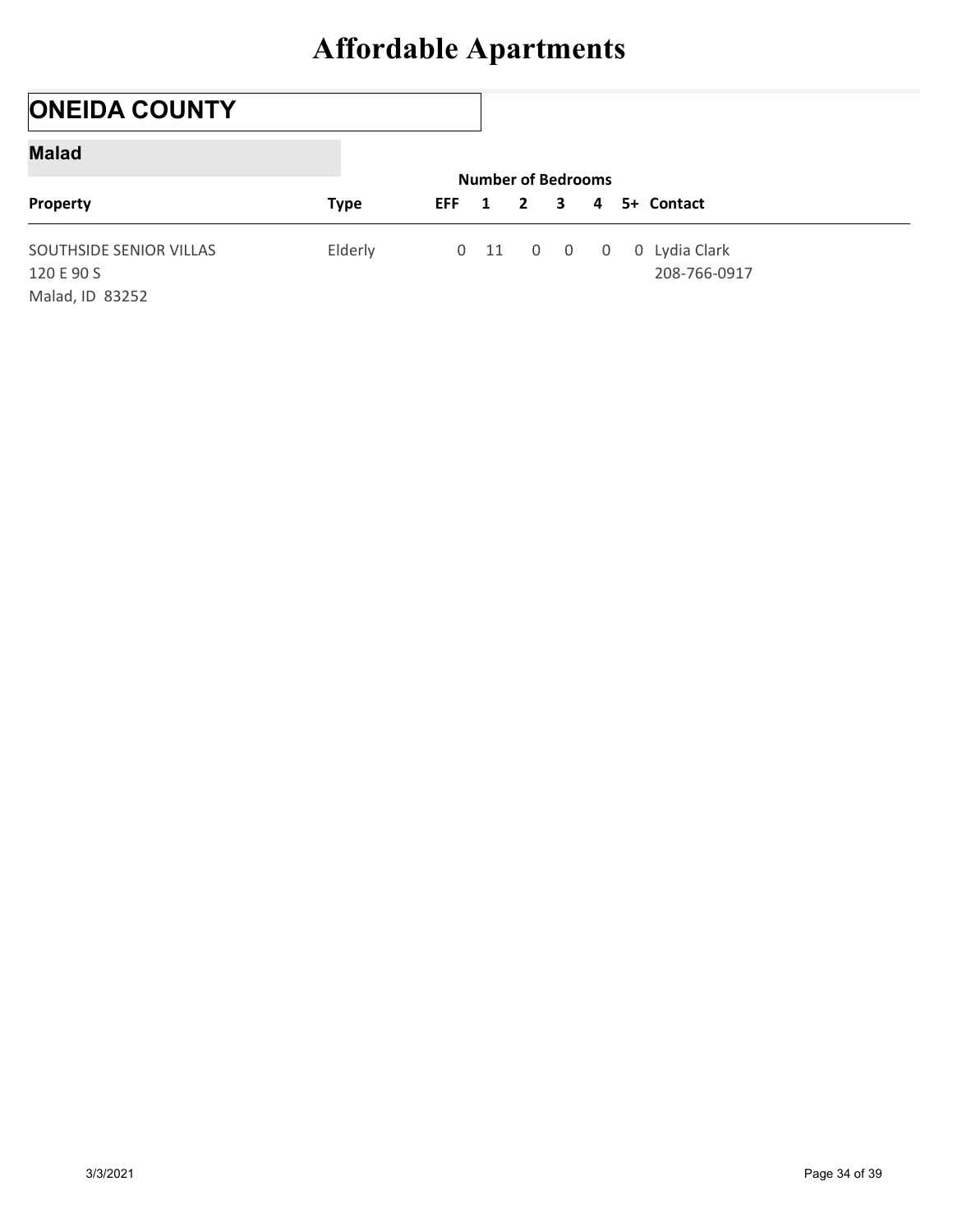## ONEIDA COUNTY

#### Malad

|                                       | <b>Affordable Apartments</b> |                 |                                           |                |             |                               |  |
|---------------------------------------|------------------------------|-----------------|-------------------------------------------|----------------|-------------|-------------------------------|--|
|                                       |                              |                 |                                           |                |             |                               |  |
| <b>ONEIDA COUNTY</b>                  |                              |                 |                                           |                |             |                               |  |
| <b>Malad</b>                          |                              |                 |                                           |                |             |                               |  |
| Property                              | <b>Type</b>                  | <b>EFF</b><br>1 | <b>Number of Bedrooms</b><br>$\mathbf{2}$ | 3              | 4           | 5+ Contact                    |  |
| SOUTHSIDE SENIOR VILLAS<br>120 E 90 S | Elderly                      |                 | $0 \quad 11 \quad 0$                      | $\overline{0}$ | $\mathbf 0$ | 0 Lydia Clark<br>208-766-0917 |  |
| Malad, ID 83252                       |                              |                 |                                           |                |             |                               |  |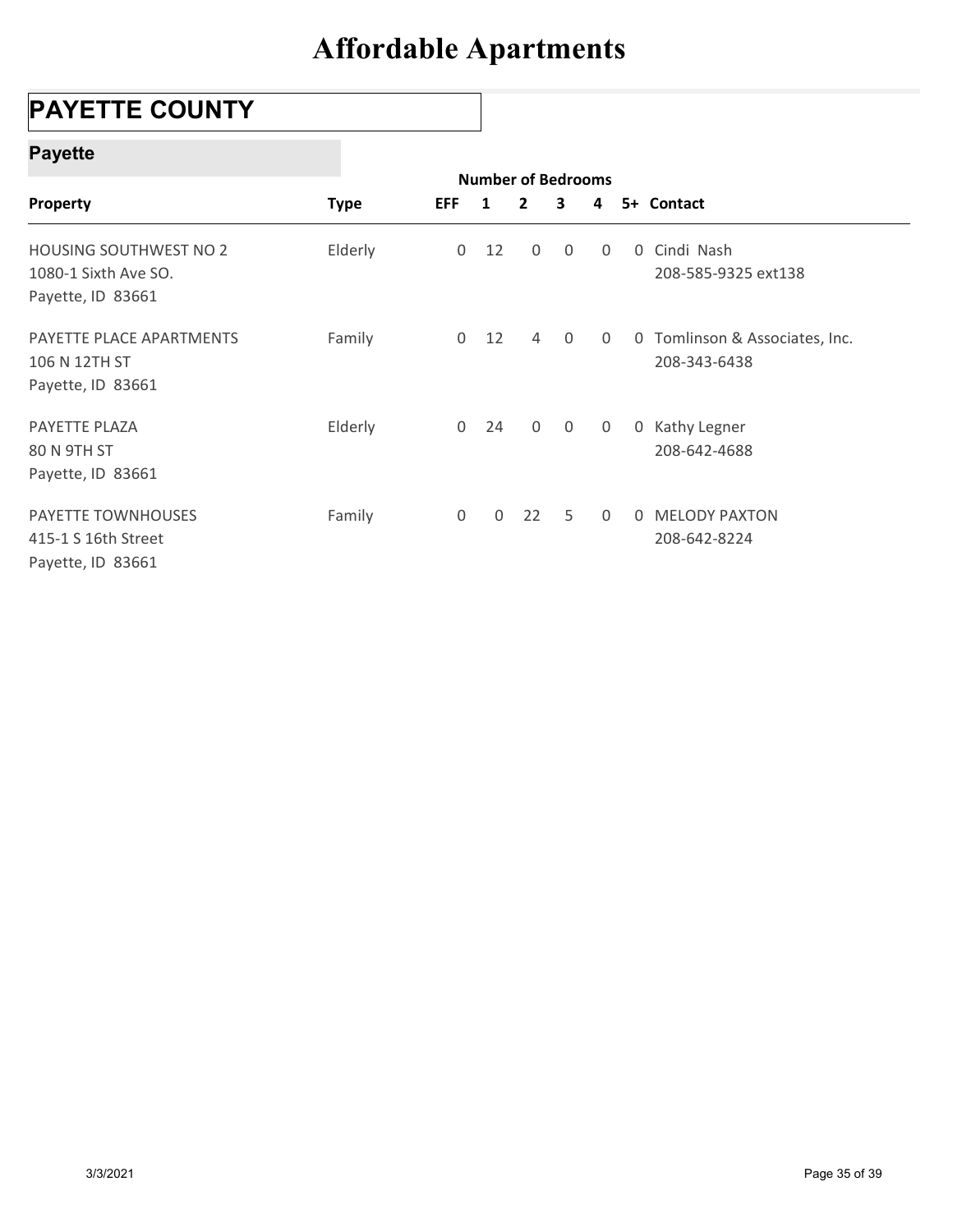## PAYETTE COUNTY

### Payette

| <b>PAYETTE COUNTY</b>                                               |             |                  |              |                                                      |                |             |   |                                                |
|---------------------------------------------------------------------|-------------|------------------|--------------|------------------------------------------------------|----------------|-------------|---|------------------------------------------------|
| <b>Payette</b>                                                      |             |                  |              |                                                      |                |             |   |                                                |
| Property                                                            | <b>Type</b> | <b>EFF</b>       | $\mathbf{1}$ | <b>Number of Bedrooms</b><br>$\overline{\mathbf{2}}$ | 3              | 4           |   | 5+ Contact                                     |
| HOUSING SOUTHWEST NO 2<br>1080-1 Sixth Ave SO.<br>Payette, ID 83661 | Elderly     | $\boldsymbol{0}$ | 12           | 0                                                    | $\mathbf 0$    | $\mathbf 0$ | 0 | Cindi Nash<br>208-585-9325 ext138              |
| PAYETTE PLACE APARTMENTS<br>106 N 12TH ST<br>Payette, ID 83661      | Family      |                  | $0$ 12       | $\overline{4}$                                       | $\mathsf 0$    | 0           |   | 0 Tomlinson & Associates, Inc.<br>208-343-6438 |
| PAYETTE PLAZA<br>80 N 9TH ST<br>Payette, ID 83661                   | Elderly     | $\overline{0}$   | 24           | $\mathsf{O}$                                         | $\overline{0}$ | $\mathbf 0$ |   | 0 Kathy Legner<br>208-642-4688                 |
| PAYETTE TOWNHOUSES<br>415-1 S 16th Street<br>Payette, ID 83661      | Family      | $\mathbf 0$      | $\mathbf 0$  | 22                                                   | 5              | 0           |   | 0 MELODY PAXTON<br>208-642-8224                |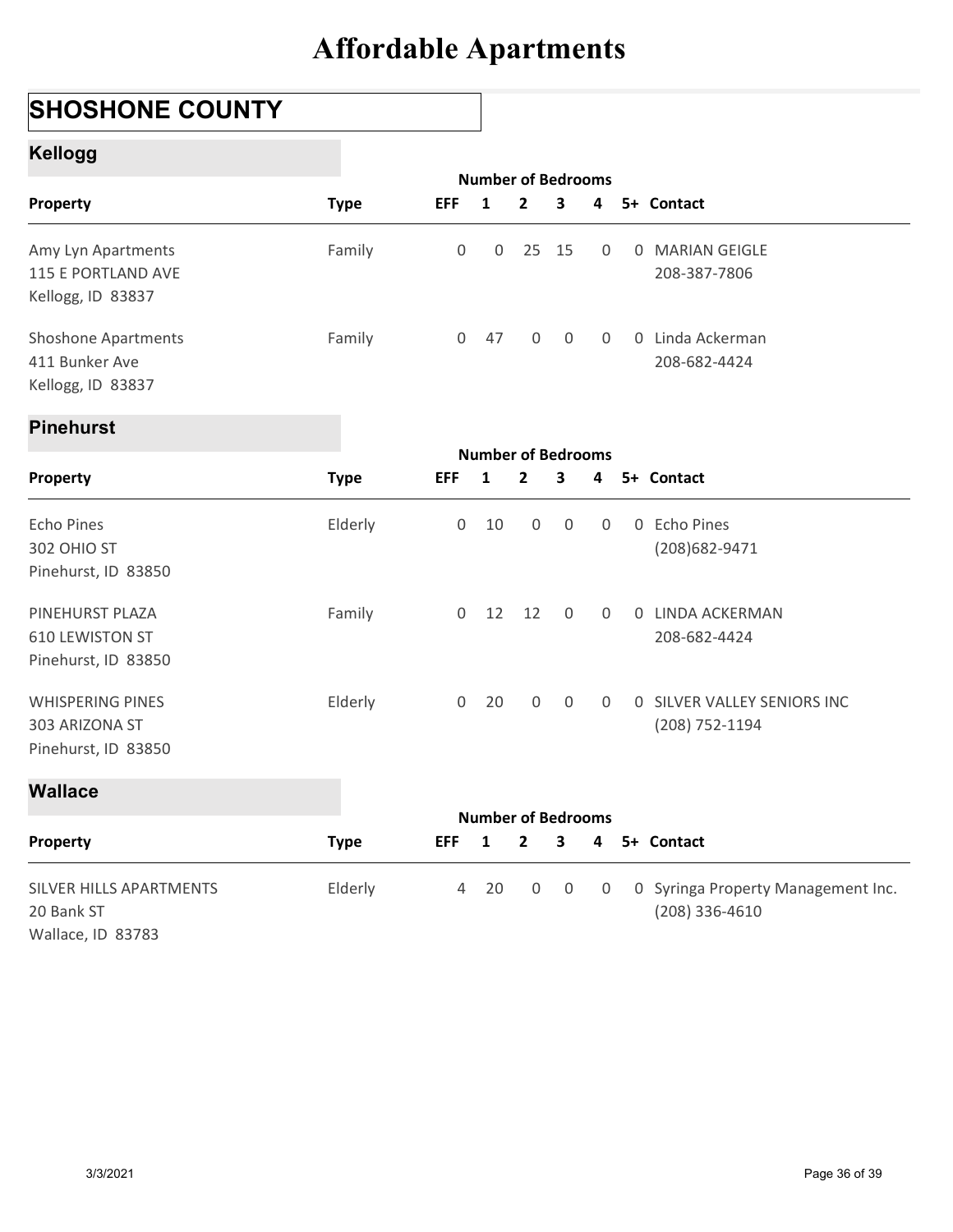## SHOSHONE COUNTY

### Kellogg

|                                                                   | <b>Affordable Apartments</b> |                  |                                           |                  |                |                |                                  |
|-------------------------------------------------------------------|------------------------------|------------------|-------------------------------------------|------------------|----------------|----------------|----------------------------------|
| <b>SHOSHONE COUNTY</b>                                            |                              |                  |                                           |                  |                |                |                                  |
| <b>Kellogg</b>                                                    |                              |                  |                                           |                  |                |                |                                  |
| Property                                                          | <b>Type</b>                  | <b>EFF</b>       | <b>Number of Bedrooms</b><br>$\mathbf{1}$ | $\overline{2}$   | 3              | 4              | 5+ Contact                       |
| Amy Lyn Apartments<br>115 E PORTLAND AVE<br>Kellogg, ID 83837     | Family                       | $\boldsymbol{0}$ | $\mathbf 0$                               | 25 15            |                | 0              | 0 MARIAN GEIGLE<br>208-387-7806  |
| <b>Shoshone Apartments</b><br>411 Bunker Ave<br>Kellogg, ID 83837 | Family                       |                  | $0$ 47                                    | $\boldsymbol{0}$ | $\overline{0}$ | $\mathbf 0$    | 0 Linda Ackerman<br>208-682-4424 |
| <b>Pinehurst</b>                                                  |                              |                  |                                           |                  |                |                |                                  |
| Property                                                          | <b>Type</b>                  | <b>EFF</b>       | <b>Number of Bedrooms</b><br>1            | 2                | 3              | 4              | 5+ Contact                       |
| <b>Echo Pines</b><br>302 OHIO ST<br>Pinehurst, ID 83850           | Elderly                      | 0                | 10                                        | 0                | $\mathbf 0$    | 0              | 0 Echo Pines<br>(208) 682-9471   |
| PINEHURST PLAZA<br><b>610 LEWISTON ST</b>                         | Family                       | $\overline{0}$   | 12                                        | 12               | $\mathbf 0$    | $\overline{0}$ | 0 LINDA ACKERMAN<br>208-682-4424 |

#### Pinehurst

| Amy Lyn Apartments<br>115 E PORTLAND AVE<br>Kellogg, ID 83837     | Family      | 0                   | 0            | 25                        | 15          | $\Omega$         | 0 MARIAN GEIGLE<br>208-387-7806                      |
|-------------------------------------------------------------------|-------------|---------------------|--------------|---------------------------|-------------|------------------|------------------------------------------------------|
| <b>Shoshone Apartments</b><br>411 Bunker Ave<br>Kellogg, ID 83837 | Family      | $\overline{0}$      | 47           | $\mathbf 0$               | $\mathbf 0$ | 0                | 0 Linda Ackerman<br>208-682-4424                     |
| <b>Pinehurst</b>                                                  |             |                     |              |                           |             |                  |                                                      |
|                                                                   |             |                     |              | <b>Number of Bedrooms</b> |             |                  |                                                      |
| Property                                                          | <b>Type</b> | <b>EFF</b>          | $\mathbf{1}$ | $\mathbf{2}$              | 3           | 4                | 5+ Contact                                           |
| <b>Echo Pines</b><br>302 OHIO ST                                  | Elderly     | $\mathsf{O}\xspace$ | 10           | $\mathsf{O}\xspace$       | $\mathbf 0$ | $\mathbf 0$      | 0 Echo Pines<br>(208) 682-9471                       |
| Pinehurst, ID 83850                                               |             |                     |              |                           |             |                  |                                                      |
| PINEHURST PLAZA                                                   | Family      |                     | $0$ 12       | 12                        | $\mathbf 0$ | 0                | 0 LINDA ACKERMAN                                     |
| <b>610 LEWISTON ST</b>                                            |             |                     |              |                           |             |                  | 208-682-4424                                         |
| Pinehurst, ID 83850                                               |             |                     |              |                           |             |                  |                                                      |
| <b>WHISPERING PINES</b>                                           | Elderly     | $\mathbf 0$         | 20           | $\mathsf{O}\xspace$       | $\mathbf 0$ | $\boldsymbol{0}$ | 0 SILVER VALLEY SENIORS INC                          |
| 303 ARIZONA ST<br>Pinehurst, ID 83850                             |             |                     |              |                           |             |                  | (208) 752-1194                                       |
| <b>Wallace</b>                                                    |             |                     |              |                           |             |                  |                                                      |
|                                                                   |             |                     |              | <b>Number of Bedrooms</b> |             |                  |                                                      |
| <b>Property</b>                                                   | <b>Type</b> | <b>EFF</b>          | $\mathbf{1}$ | 2                         | 3           | 4                | 5+ Contact                                           |
| SILVER HILLS APARTMENTS<br>20 Bank ST                             | Elderly     | $\overline{4}$      | 20           | $\boldsymbol{0}$          | $\mathbf 0$ | $\mathbf 0$      | 0 Syringa Property Management Inc.<br>(208) 336-4610 |

| <b>Wallace</b>                                             |             |                |                           |                |                     |                |                                                        |
|------------------------------------------------------------|-------------|----------------|---------------------------|----------------|---------------------|----------------|--------------------------------------------------------|
|                                                            |             |                | <b>Number of Bedrooms</b> |                |                     |                |                                                        |
| Property                                                   | <b>Type</b> | <b>EFF</b>     | $\mathbf{1}$              | $\overline{2}$ | $\mathbf{3}$        | 4              | 5+ Contact                                             |
| SILVER HILLS APARTMENTS<br>20 Bank ST<br>Wallace, ID 83783 | Elderly     | $\overline{4}$ | 20                        | $\mathsf{O}$   | $\mathsf{O}\xspace$ | $\overline{0}$ | 0 Syringa Property Management Inc.<br>$(208)$ 336-4610 |
| 3/3/2021                                                   |             |                |                           |                |                     |                | Page 36 of 39                                          |
|                                                            |             |                |                           |                |                     |                |                                                        |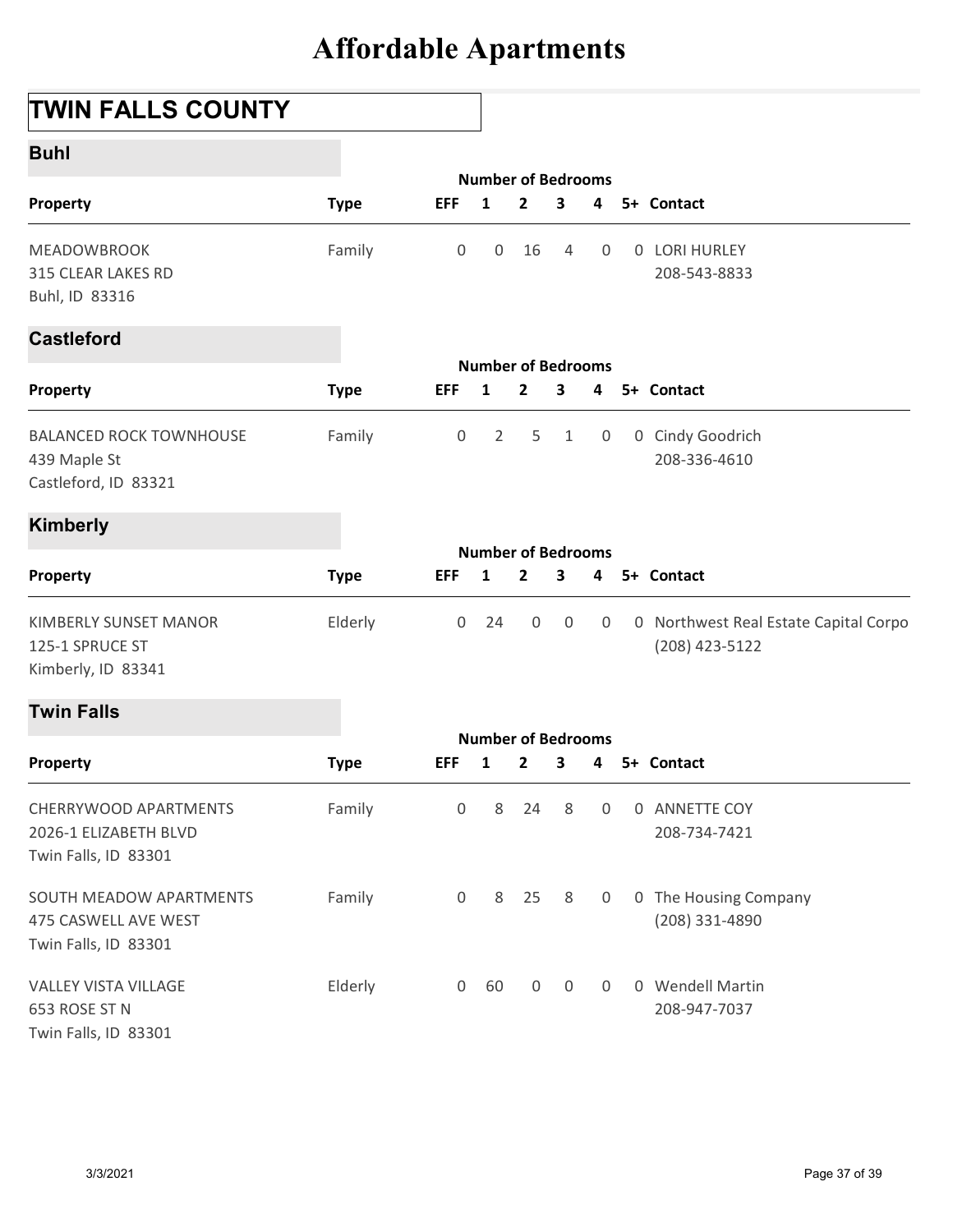## TWIN FALLS COUNTY

| Buhl |  |
|------|--|
|------|--|

|                                                                         | <b>Affordable Apartments</b> |                     |                                           |                         |                         |                |                                                         |  |
|-------------------------------------------------------------------------|------------------------------|---------------------|-------------------------------------------|-------------------------|-------------------------|----------------|---------------------------------------------------------|--|
| <b>TWIN FALLS COUNTY</b>                                                |                              |                     |                                           |                         |                         |                |                                                         |  |
| <b>Buhl</b>                                                             |                              |                     |                                           |                         |                         |                |                                                         |  |
| Property                                                                | <b>Type</b>                  | <b>EFF</b>          | <b>Number of Bedrooms</b><br>1            | $\mathbf{2}$            | 3                       | 4              | 5+ Contact                                              |  |
| MEADOWBROOK<br>315 CLEAR LAKES RD<br>Buhl, ID 83316                     | Family                       | $\mathsf{O}$        | $\mathbf 0$                               | 16                      | $\overline{4}$          | $\overline{0}$ | 0 LORI HURLEY<br>208-543-8833                           |  |
| <b>Castleford</b>                                                       |                              |                     |                                           |                         |                         |                |                                                         |  |
| Property                                                                | <b>Type</b>                  | <b>EFF</b>          | <b>Number of Bedrooms</b><br>1            | $\mathbf{2}$            | 3                       | 4              | 5+ Contact                                              |  |
| <b>BALANCED ROCK TOWNHOUSE</b><br>439 Maple St<br>Castleford, ID 83321  | Family                       | $\mathsf{O}$        | $\overline{2}$                            | 5                       | $\mathbf{1}$            | $\overline{0}$ | 0 Cindy Goodrich<br>208-336-4610                        |  |
| <b>Kimberly</b>                                                         |                              |                     |                                           |                         |                         |                |                                                         |  |
| Property                                                                | <b>Type</b>                  | <b>EFF</b>          | <b>Number of Bedrooms</b><br>$\mathbf{1}$ | $\overline{2}$          | $\overline{\mathbf{3}}$ | 4              | 5+ Contact                                              |  |
| <b>KIMBERLY SUNSET MANOR</b><br>125-1 SPRUCE ST<br>Kimberly, ID 83341   | Elderly                      | $\mathsf{O}\xspace$ | 24                                        | 0                       | $\overline{0}$          | $\overline{0}$ | 0 Northwest Real Estate Capital Corpo<br>(208) 423-5122 |  |
| <b>Twin Falls</b>                                                       |                              |                     |                                           |                         |                         |                |                                                         |  |
| Property                                                                | <b>Type</b>                  | <b>EFF</b>          | <b>Number of Bedrooms</b><br>$\mathbf{1}$ | $\overline{\mathbf{2}}$ | $\overline{\mathbf{3}}$ | 4              | 5+ Contact                                              |  |
| CHERRYWOOD APARTMENTS<br>2026-1 ELIZABETH BLVD<br>Twin Falls, ID 83301  | Family                       | 0                   | 8                                         | 24                      | 8                       | $\overline{0}$ | 0 ANNETTE COY<br>208-734-7421                           |  |
| SOUTH MEADOW APARTMENTS<br>475 CASWELL AVE WEST<br>Twin Falls, ID 83301 | Family                       | $\overline{0}$      |                                           | 8 25                    | 8                       | $\overline{0}$ | 0 The Housing Company<br>(208) 331-4890                 |  |
| VALLEY VISTA VILLAGE<br>653 ROSE ST N<br>Twin Falls, ID 83301           | Elderly                      | $\mathsf{O}\xspace$ | 60                                        | $\mathsf{O}\xspace$     | $\mathsf{O}$            | $\overline{0}$ | 0 Wendell Martin<br>208-947-7037                        |  |
| 3/3/2021                                                                |                              |                     |                                           |                         |                         |                | Page 37 of 39                                           |  |